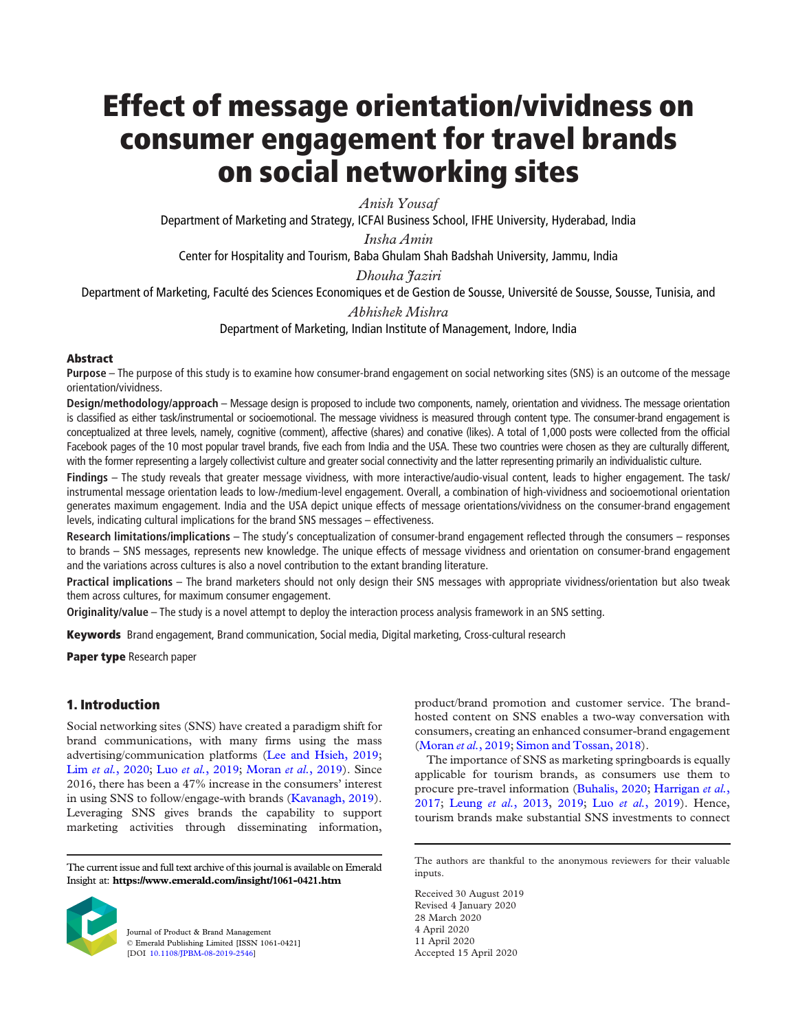# Effect of message orientation/vividness on consumer engagement for travel brands on social networking sites

*Anish Yousaf*

Department of Marketing and Strategy, ICFAI Business School, IFHE University, Hyderabad, India

*Insha Amin*

Center for Hospitality and Tourism, Baba Ghulam Shah Badshah University, Jammu, India

*Dhouha Jaziri*

Department of Marketing, Faculté des Sciences Economiques et de Gestion de Sousse, Université de Sousse, Sousse, Tunisia, and

*Abhishek Mishra*

Department of Marketing, Indian Institute of Management, Indore, India

# **Abstract**

Purpose – The purpose of this study is to examine how consumer-brand engagement on social networking sites (SNS) is an outcome of the message orientation/vividness.

Design/methodology/approach – Message design is proposed to include two components, namely, orientation and vividness. The message orientation is classified as either task/instrumental or socioemotional. The message vividness is measured through content type. The consumer-brand engagement is conceptualized at three levels, namely, cognitive (comment), affective (shares) and conative (likes). A total of 1,000 posts were collected from the official Facebook pages of the 10 most popular travel brands, five each from India and the USA. These two countries were chosen as they are culturally different, with the former representing a largely collectivist culture and greater social connectivity and the latter representing primarily an individualistic culture.

Findings – The study reveals that greater message vividness, with more interactive/audio-visual content, leads to higher engagement. The task/ instrumental message orientation leads to low-/medium-level engagement. Overall, a combination of high-vividness and socioemotional orientation generates maximum engagement. India and the USA depict unique effects of message orientations/vividness on the consumer-brand engagement levels, indicating cultural implications for the brand SNS messages – effectiveness.

Research limitations/implications - The study's conceptualization of consumer-brand engagement reflected through the consumers - responses to brands – SNS messages, represents new knowledge. The unique effects of message vividness and orientation on consumer-brand engagement and the variations across cultures is also a novel contribution to the extant branding literature.

Practical implications – The brand marketers should not only design their SNS messages with appropriate vividness/orientation but also tweak them across cultures, for maximum consumer engagement.

Originality/value – The study is a novel attempt to deploy the interaction process analysis framework in an SNS setting.

Keywords Brand engagement, Brand communication, Social media, Digital marketing, Cross-cultural research

Paper type Research paper

# 1. Introduction

Social networking sites (SNS) have created a paradigm shift for brand communications, with many firms using the mass advertising/communication platforms (Lee and Hsieh, 2019; Lim *et al.*, 2020; Luo *et al.*, 2019; Moran *et al.*, 2019). Since 2016, there has been a 47% increase in the consumers' interest in using SNS to follow/engage-with brands (Kavanagh, 2019). Leveraging SNS gives brands the capability to support marketing activities through disseminating information,

The current issue and full text archive of this journal is available on Emerald Insight at: https://www.emerald.com/insight/1061-0421.htm



Journal of Product & Brand Management © Emerald Publishing Limited [ISSN 1061-0421] [DOI 10.1108/JPBM-08-2019-2546]

product/brand promotion and customer service. The brandhosted content on SNS enables a two-way conversation with consumers, creating an enhanced consumer-brand engagement (Moran *et al.*, 2019; Simon and Tossan, 2018).

The importance of SNS as marketing springboards is equally applicable for tourism brands, as consumers use them to procure pre-travel information (Buhalis, 2020; Harrigan *et al.*, 2017; Leung *et al.*, 2013, 2019; Luo *et al.*, 2019). Hence, tourism brands make substantial SNS investments to connect

Received 30 August 2019 Revised 4 January 2020 28 March 2020 4 April 2020 11 April 2020 Accepted 15 April 2020

The authors are thankful to the anonymous reviewers for their valuable inputs.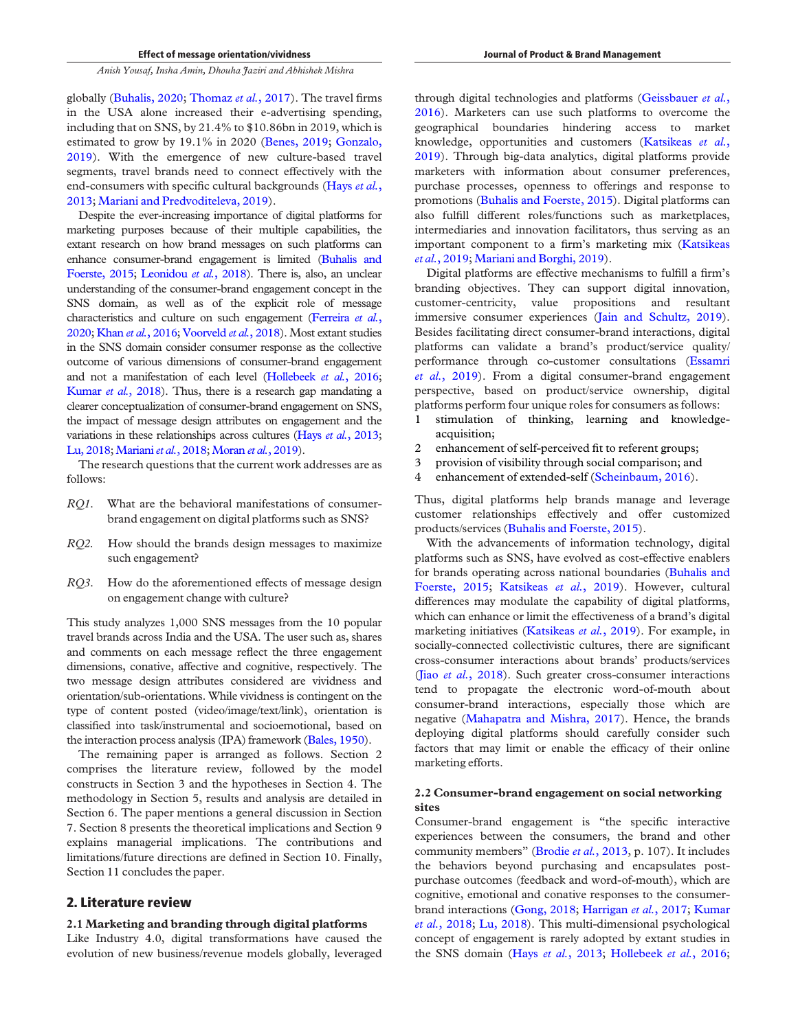globally (Buhalis, 2020; Thomaz *et al.*, 2017). The travel firms in the USA alone increased their e-advertising spending, including that on SNS, by 21.4% to \$10.86bn in 2019, which is estimated to grow by 19.1% in 2020 (Benes, 2019; Gonzalo, 2019). With the emergence of new culture-based travel segments, travel brands need to connect effectively with the end-consumers with specific cultural backgrounds (Hays *et al.*, 2013; Mariani and Predvoditeleva, 2019).

Despite the ever-increasing importance of digital platforms for marketing purposes because of their multiple capabilities, the extant research on how brand messages on such platforms can enhance consumer-brand engagement is limited (Buhalis and Foerste, 2015; Leonidou *et al.*, 2018). There is, also, an unclear understanding of the consumer-brand engagement concept in the SNS domain, as well as of the explicit role of message characteristics and culture on such engagement (Ferreira *et al.*, 2020; Khan *et al.*, 2016; Voorveld *et al.*, 2018). Most extant studies in the SNS domain consider consumer response as the collective outcome of various dimensions of consumer-brand engagement and not a manifestation of each level (Hollebeek *et al.*, 2016; Kumar *et al.*, 2018). Thus, there is a research gap mandating a clearer conceptualization of consumer-brand engagement on SNS, the impact of message design attributes on engagement and the variations in these relationships across cultures (Hays *et al.*, 2013; Lu, 2018; Mariani *et al.*, 2018; Moran *et al.*, 2019).

The research questions that the current work addresses are as follows:

- *RQ1*. What are the behavioral manifestations of consumerbrand engagement on digital platforms such as SNS?
- *RQ2.* How should the brands design messages to maximize such engagement?
- *RQ3*. How do the aforementioned effects of message design on engagement change with culture?

This study analyzes 1,000 SNS messages from the 10 popular travel brands across India and the USA. The user such as, shares and comments on each message reflect the three engagement dimensions, conative, affective and cognitive, respectively. The two message design attributes considered are vividness and orientation/sub-orientations. While vividness is contingent on the type of content posted (video/image/text/link), orientation is classified into task/instrumental and socioemotional, based on the interaction process analysis (IPA) framework (Bales, 1950).

The remaining paper is arranged as follows. Section 2 comprises the literature review, followed by the model constructs in Section 3 and the hypotheses in Section 4. The methodology in Section 5, results and analysis are detailed in Section 6. The paper mentions a general discussion in Section 7. Section 8 presents the theoretical implications and Section 9 explains managerial implications. The contributions and limitations/future directions are defined in Section 10. Finally, Section 11 concludes the paper.

# 2. Literature review

#### 2.1 Marketing and branding through digital platforms

Like Industry 4.0, digital transformations have caused the evolution of new business/revenue models globally, leveraged through digital technologies and platforms (Geissbauer *et al.*, 2016). Marketers can use such platforms to overcome the geographical boundaries hindering access to market knowledge, opportunities and customers (Katsikeas *et al.*, 2019). Through big-data analytics, digital platforms provide marketers with information about consumer preferences, purchase processes, openness to offerings and response to promotions (Buhalis and Foerste, 2015). Digital platforms can also fulfill different roles/functions such as marketplaces, intermediaries and innovation facilitators, thus serving as an important component to a firm's marketing mix (Katsikeas *et al.*, 2019; Mariani and Borghi, 2019).

Digital platforms are effective mechanisms to fulfill a firm's branding objectives. They can support digital innovation, customer-centricity, value propositions and resultant immersive consumer experiences (Jain and Schultz, 2019). Besides facilitating direct consumer-brand interactions, digital platforms can validate a brand's product/service quality/ performance through co-customer consultations (Essamri *et al.*, 2019). From a digital consumer-brand engagement perspective, based on product/service ownership, digital platforms perform four unique roles for consumers as follows:

- 1 stimulation of thinking, learning and knowledgeacquisition;
- 2 enhancement of self-perceived fit to referent groups;
- 3 provision of visibility through social comparison; and
- 4 enhancement of extended-self (Scheinbaum, 2016).

Thus, digital platforms help brands manage and leverage customer relationships effectively and offer customized products/services (Buhalis and Foerste, 2015).

With the advancements of information technology, digital platforms such as SNS, have evolved as cost-effective enablers for brands operating across national boundaries (Buhalis and Foerste, 2015; Katsikeas *et al.*, 2019). However, cultural differences may modulate the capability of digital platforms, which can enhance or limit the effectiveness of a brand's digital marketing initiatives (Katsikeas *et al.*, 2019). For example, in socially-connected collectivistic cultures, there are significant cross-consumer interactions about brands' products/services (Jiao *et al.*, 2018). Such greater cross-consumer interactions tend to propagate the electronic word-of-mouth about consumer-brand interactions, especially those which are negative (Mahapatra and Mishra, 2017). Hence, the brands deploying digital platforms should carefully consider such factors that may limit or enable the efficacy of their online marketing efforts.

## 2.2 Consumer-brand engagement on social networking sites

Consumer-brand engagement is "the specific interactive experiences between the consumers, the brand and other community members" (Brodie *et al.*, 2013, p. 107). It includes the behaviors beyond purchasing and encapsulates postpurchase outcomes (feedback and word-of-mouth), which are cognitive, emotional and conative responses to the consumerbrand interactions (Gong, 2018; Harrigan *et al.*, 2017; Kumar *et al.*, 2018; Lu, 2018). This multi-dimensional psychological concept of engagement is rarely adopted by extant studies in the SNS domain (Hays *et al.*, 2013; Hollebeek *et al.*, 2016;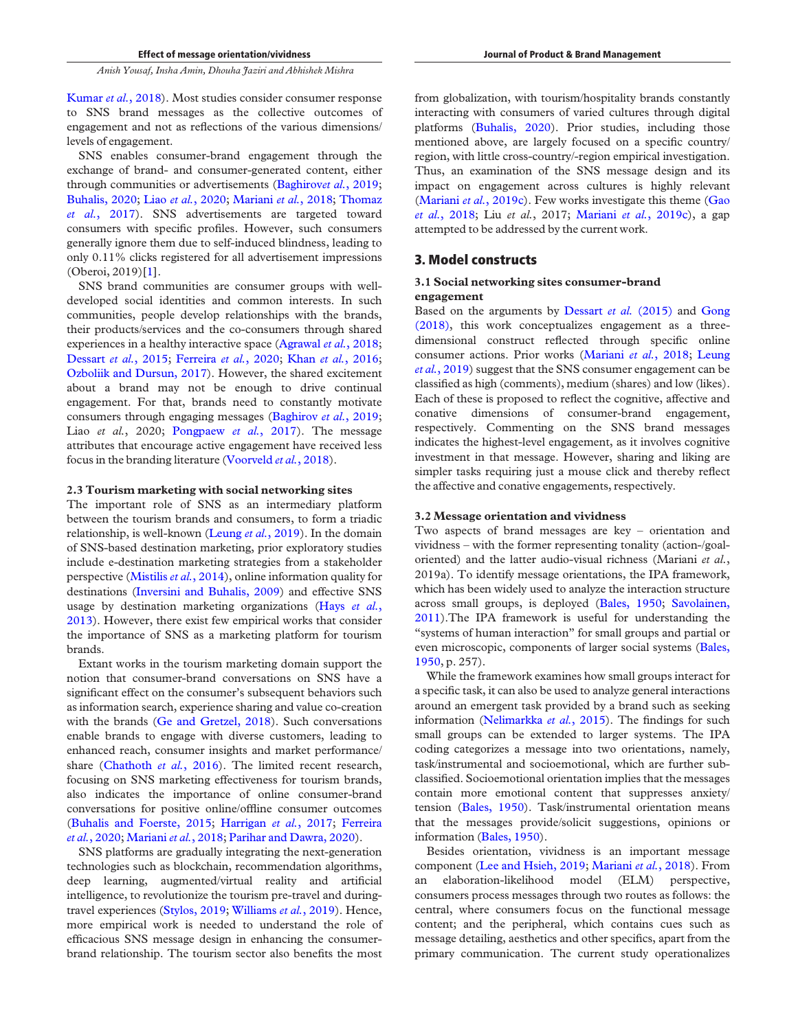Kumar *et al.*, 2018). Most studies consider consumer response to SNS brand messages as the collective outcomes of engagement and not as reflections of the various dimensions/ levels of engagement.

SNS enables consumer-brand engagement through the exchange of brand- and consumer-generated content, either through communities or advertisements (Baghirov*et al.*, 2019; Buhalis, 2020; Liao *et al.*, 2020; Mariani *et al.*, 2018; Thomaz *et al.*, 2017). SNS advertisements are targeted toward consumers with specific profiles. However, such consumers generally ignore them due to self-induced blindness, leading to only 0.11% clicks registered for all advertisement impressions (Oberoi, 2019)[1].

SNS brand communities are consumer groups with welldeveloped social identities and common interests. In such communities, people develop relationships with the brands, their products/services and the co-consumers through shared experiences in a healthy interactive space (Agrawal *et al.*, 2018; Dessart *et al.*, 2015; Ferreira *et al.*, 2020; Khan *et al.*, 2016; Ozboliik and Dursun, 2017). However, the shared excitement about a brand may not be enough to drive continual engagement. For that, brands need to constantly motivate consumers through engaging messages (Baghirov *et al.*, 2019; Liao *et al.*, 2020; Pongpaew *et al.*, 2017). The message attributes that encourage active engagement have received less focus in the branding literature (Voorveld *et al.*, 2018).

#### 2.3 Tourism marketing with social networking sites

The important role of SNS as an intermediary platform between the tourism brands and consumers, to form a triadic relationship, is well-known (Leung *et al.*, 2019). In the domain of SNS-based destination marketing, prior exploratory studies include e-destination marketing strategies from a stakeholder perspective (Mistilis*et al.*, 2014), online information quality for destinations (Inversini and Buhalis, 2009) and effective SNS usage by destination marketing organizations (Hays *et al.*, 2013). However, there exist few empirical works that consider the importance of SNS as a marketing platform for tourism brands.

Extant works in the tourism marketing domain support the notion that consumer-brand conversations on SNS have a significant effect on the consumer's subsequent behaviors such as information search, experience sharing and value co-creation with the brands (Ge and Gretzel, 2018). Such conversations enable brands to engage with diverse customers, leading to enhanced reach, consumer insights and market performance/ share (Chathoth *et al.*, 2016). The limited recent research, focusing on SNS marketing effectiveness for tourism brands, also indicates the importance of online consumer-brand conversations for positive online/offline consumer outcomes (Buhalis and Foerste, 2015; Harrigan *et al.*, 2017; Ferreira *et al.*, 2020; Mariani *et al.*, 2018; Parihar and Dawra, 2020).

SNS platforms are gradually integrating the next-generation technologies such as blockchain, recommendation algorithms, deep learning, augmented/virtual reality and artificial intelligence, to revolutionize the tourism pre-travel and duringtravel experiences (Stylos, 2019; Williams *et al.*, 2019). Hence, more empirical work is needed to understand the role of efficacious SNS message design in enhancing the consumerbrand relationship. The tourism sector also benefits the most

from globalization, with tourism/hospitality brands constantly interacting with consumers of varied cultures through digital platforms (Buhalis, 2020). Prior studies, including those mentioned above, are largely focused on a specific country/ region, with little cross-country/-region empirical investigation. Thus, an examination of the SNS message design and its impact on engagement across cultures is highly relevant (Mariani *et al.*, 2019c). Few works investigate this theme (Gao *et al.*, 2018; Liu *et al.*, 2017; Mariani *et al.*, 2019c), a gap attempted to be addressed by the current work.

# 3. Model constructs

### 3.1 Social networking sites consumer-brand engagement

Based on the arguments by Dessart *et al.* (2015) and Gong (2018), this work conceptualizes engagement as a threedimensional construct reflected through specific online consumer actions. Prior works (Mariani *et al.*, 2018; Leung *et al.*, 2019) suggest that the SNS consumer engagement can be classified as high (comments), medium (shares) and low (likes). Each of these is proposed to reflect the cognitive, affective and conative dimensions of consumer-brand engagement, respectively. Commenting on the SNS brand messages indicates the highest-level engagement, as it involves cognitive investment in that message. However, sharing and liking are simpler tasks requiring just a mouse click and thereby reflect the affective and conative engagements, respectively.

#### 3.2 Message orientation and vividness

Two aspects of brand messages are key – orientation and vividness – with the former representing tonality (action-/goaloriented) and the latter audio-visual richness (Mariani *et al.*, 2019a). To identify message orientations, the IPA framework, which has been widely used to analyze the interaction structure across small groups, is deployed (Bales, 1950; Savolainen, 2011).The IPA framework is useful for understanding the "systems of human interaction" for small groups and partial or even microscopic, components of larger social systems (Bales, 1950, p. 257).

While the framework examines how small groups interact for a specific task, it can also be used to analyze general interactions around an emergent task provided by a brand such as seeking information (Nelimarkka *et al.*, 2015). The findings for such small groups can be extended to larger systems. The IPA coding categorizes a message into two orientations, namely, task/instrumental and socioemotional, which are further subclassified. Socioemotional orientation implies that the messages contain more emotional content that suppresses anxiety/ tension (Bales, 1950). Task/instrumental orientation means that the messages provide/solicit suggestions, opinions or information (Bales, 1950).

Besides orientation, vividness is an important message component (Lee and Hsieh, 2019; Mariani *et al.*, 2018). From an elaboration-likelihood model (ELM) perspective, consumers process messages through two routes as follows: the central, where consumers focus on the functional message content; and the peripheral, which contains cues such as message detailing, aesthetics and other specifics, apart from the primary communication. The current study operationalizes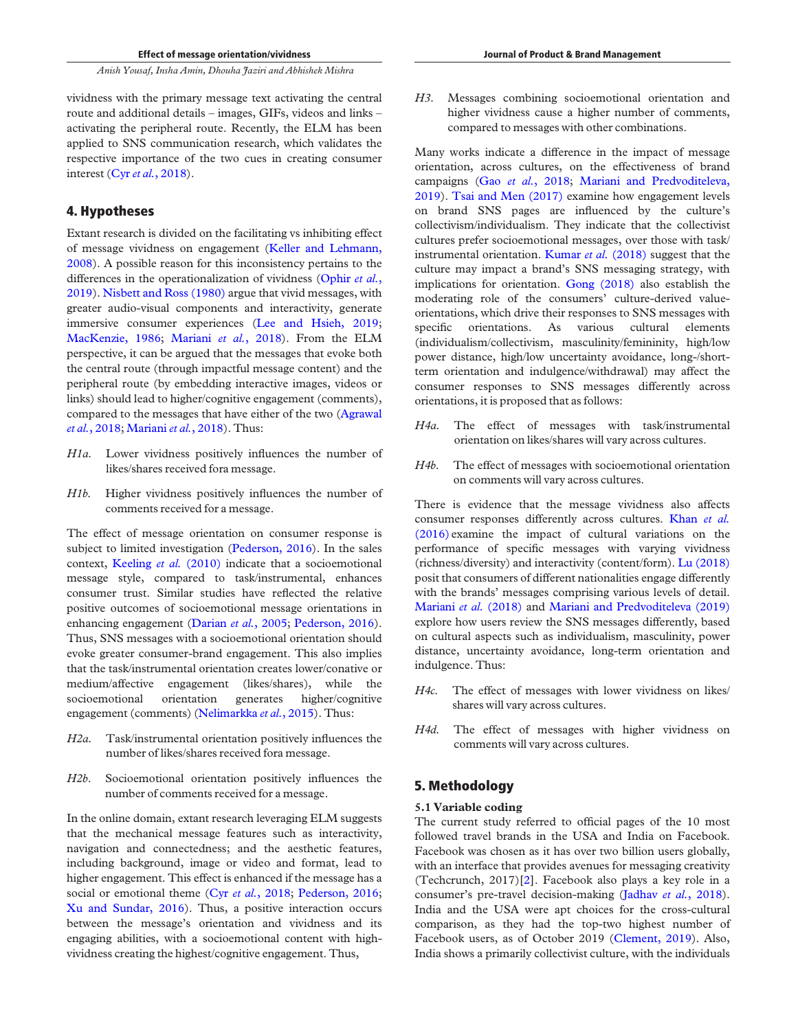vividness with the primary message text activating the central route and additional details – images, GIFs, videos and links – activating the peripheral route. Recently, the ELM has been applied to SNS communication research, which validates the respective importance of the two cues in creating consumer interest (Cyr*et al.*, 2018).

# 4. Hypotheses

Extant research is divided on the facilitating vs inhibiting effect of message vividness on engagement (Keller and Lehmann, 2008). A possible reason for this inconsistency pertains to the differences in the operationalization of vividness (Ophir *et al.*, 2019). Nisbett and Ross (1980) argue that vivid messages, with greater audio-visual components and interactivity, generate immersive consumer experiences (Lee and Hsieh, 2019; MacKenzie, 1986; Mariani *et al.*, 2018). From the ELM perspective, it can be argued that the messages that evoke both the central route (through impactful message content) and the peripheral route (by embedding interactive images, videos or links) should lead to higher/cognitive engagement (comments), compared to the messages that have either of the two (Agrawal *et al.*, 2018; Mariani *et al.*, 2018). Thus:

- *H1a.* Lower vividness positively influences the number of likes/shares received fora message.
- *H1b.* Higher vividness positively influences the number of comments received for a message.

The effect of message orientation on consumer response is subject to limited investigation (Pederson, 2016). In the sales context, Keeling *et al.* (2010) indicate that a socioemotional message style, compared to task/instrumental, enhances consumer trust. Similar studies have reflected the relative positive outcomes of socioemotional message orientations in enhancing engagement (Darian *et al.*, 2005; Pederson, 2016). Thus, SNS messages with a socioemotional orientation should evoke greater consumer-brand engagement. This also implies that the task/instrumental orientation creates lower/conative or medium/affective engagement (likes/shares), while the socioemotional orientation generates higher/cognitive engagement (comments) (Nelimarkka *et al.*, 2015). Thus:

- *H2a.* Task/instrumental orientation positively influences the number of likes/shares received fora message.
- *H2b*. Socioemotional orientation positively influences the number of comments received for a message.

In the online domain, extant research leveraging ELM suggests that the mechanical message features such as interactivity, navigation and connectedness; and the aesthetic features, including background, image or video and format, lead to higher engagement. This effect is enhanced if the message has a social or emotional theme (Cyr et al., 2018; Pederson, 2016; Xu and Sundar, 2016). Thus, a positive interaction occurs between the message's orientation and vividness and its engaging abilities, with a socioemotional content with highvividness creating the highest/cognitive engagement. Thus,

*H3*. Messages combining socioemotional orientation and higher vividness cause a higher number of comments, compared to messages with other combinations.

Many works indicate a difference in the impact of message orientation, across cultures, on the effectiveness of brand campaigns (Gao *et al.*, 2018; Mariani and Predvoditeleva, 2019). Tsai and Men (2017) examine how engagement levels on brand SNS pages are influenced by the culture's collectivism/individualism. They indicate that the collectivist cultures prefer socioemotional messages, over those with task/ instrumental orientation. Kumar *et al.* (2018) suggest that the culture may impact a brand's SNS messaging strategy, with implications for orientation. Gong (2018) also establish the moderating role of the consumers' culture-derived valueorientations, which drive their responses to SNS messages with specific orientations. As various cultural elements (individualism/collectivism, masculinity/femininity, high/low power distance, high/low uncertainty avoidance, long-/shortterm orientation and indulgence/withdrawal) may affect the consumer responses to SNS messages differently across orientations, it is proposed that as follows:

- *H4a.* The effect of messages with task/instrumental orientation on likes/shares will vary across cultures.
- *H4b.* The effect of messages with socioemotional orientation on comments will vary across cultures.

There is evidence that the message vividness also affects consumer responses differently across cultures. Khan *et al.* (2016) examine the impact of cultural variations on the performance of specific messages with varying vividness (richness/diversity) and interactivity (content/form). Lu (2018) posit that consumers of different nationalities engage differently with the brands' messages comprising various levels of detail. Mariani *et al.* (2018) and Mariani and Predvoditeleva (2019) explore how users review the SNS messages differently, based on cultural aspects such as individualism, masculinity, power distance, uncertainty avoidance, long-term orientation and indulgence. Thus:

- *H4c.* The effect of messages with lower vividness on likes/ shares will vary across cultures.
- *H4d.* The effect of messages with higher vividness on comments will vary across cultures.

# 5. Methodology

# 5.1 Variable coding

The current study referred to official pages of the 10 most followed travel brands in the USA and India on Facebook. Facebook was chosen as it has over two billion users globally, with an interface that provides avenues for messaging creativity (Techcrunch, 2017)[2]. Facebook also plays a key role in a consumer's pre-travel decision-making (Jadhav *et al.*, 2018). India and the USA were apt choices for the cross-cultural comparison, as they had the top-two highest number of Facebook users, as of October 2019 (Clement, 2019). Also, India shows a primarily collectivist culture, with the individuals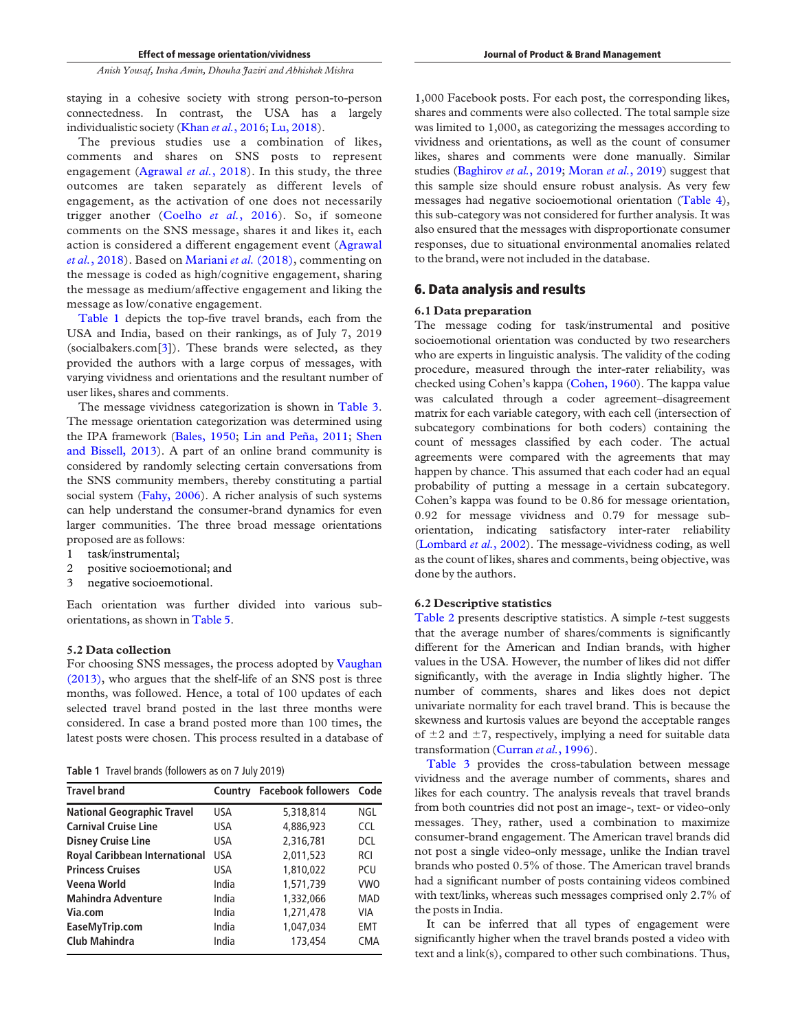staying in a cohesive society with strong person-to-person connectedness. In contrast, the USA has a largely individualistic society (Khan *et al.*, 2016; Lu, 2018).

The previous studies use a combination of likes, comments and shares on SNS posts to represent engagement (Agrawal *et al.*, 2018). In this study, the three outcomes are taken separately as different levels of engagement, as the activation of one does not necessarily trigger another (Coelho *et al.*, 2016). So, if someone comments on the SNS message, shares it and likes it, each action is considered a different engagement event (Agrawal *et al.*, 2018). Based on Mariani *et al.* (2018), commenting on the message is coded as high/cognitive engagement, sharing the message as medium/affective engagement and liking the message as low/conative engagement.

Table 1 depicts the top-five travel brands, each from the USA and India, based on their rankings, as of July 7, 2019 (socialbakers.com[3]). These brands were selected, as they provided the authors with a large corpus of messages, with varying vividness and orientations and the resultant number of user likes, shares and comments.

The message vividness categorization is shown in Table 3. The message orientation categorization was determined using the IPA framework (Bales, 1950; Lin and Peña, 2011; Shen and Bissell, 2013). A part of an online brand community is considered by randomly selecting certain conversations from the SNS community members, thereby constituting a partial social system (Fahy, 2006). A richer analysis of such systems can help understand the consumer-brand dynamics for even larger communities. The three broad message orientations proposed are as follows:

- 1 task/instrumental;
- 2 positive socioemotional; and
- 3 negative socioemotional.

Each orientation was further divided into various suborientations, as shown in Table 5.

## 5.2 Data collection

For choosing SNS messages, the process adopted by Vaughan (2013), who argues that the shelf-life of an SNS post is three months, was followed. Hence, a total of 100 updates of each selected travel brand posted in the last three months were considered. In case a brand posted more than 100 times, the latest posts were chosen. This process resulted in a database of

Table 1 Travel brands (followers as on 7 July 2019)

| <b>Travel brand</b>                  | Country    | <b>Facebook followers Code</b> |            |
|--------------------------------------|------------|--------------------------------|------------|
| <b>National Geographic Travel</b>    | <b>USA</b> | 5,318,814                      | NGL        |
| <b>Carnival Cruise Line</b>          | USA        | 4,886,923                      | <b>CCL</b> |
| <b>Disney Cruise Line</b>            | <b>USA</b> | 2.316.781                      | DCL        |
| <b>Royal Caribbean International</b> | <b>USA</b> | 2,011,523                      | <b>RCI</b> |
| <b>Princess Cruises</b>              | USA        | 1,810,022                      | <b>PCU</b> |
| Veena World                          | India      | 1,571,739                      | <b>VWO</b> |
| <b>Mahindra Adventure</b>            | India      | 1,332,066                      | MAD        |
| Via.com                              | India      | 1.271.478                      | VIA        |
| EaseMyTrip.com                       | India      | 1.047.034                      | <b>EMT</b> |
| <b>Club Mahindra</b>                 | India      | 173,454                        | <b>CMA</b> |

1,000 Facebook posts. For each post, the corresponding likes, shares and comments were also collected. The total sample size was limited to 1,000, as categorizing the messages according to vividness and orientations, as well as the count of consumer likes, shares and comments were done manually. Similar studies (Baghirov *et al.*, 2019; Moran *et al.*, 2019) suggest that this sample size should ensure robust analysis. As very few messages had negative socioemotional orientation (Table 4), this sub-category was not considered for further analysis. It was also ensured that the messages with disproportionate consumer responses, due to situational environmental anomalies related to the brand, were not included in the database.

# 6. Data analysis and results

#### 6.1 Data preparation

The message coding for task/instrumental and positive socioemotional orientation was conducted by two researchers who are experts in linguistic analysis. The validity of the coding procedure, measured through the inter-rater reliability, was checked using Cohen's kappa (Cohen, 1960). The kappa value was calculated through a coder agreement–disagreement matrix for each variable category, with each cell (intersection of subcategory combinations for both coders) containing the count of messages classified by each coder. The actual agreements were compared with the agreements that may happen by chance. This assumed that each coder had an equal probability of putting a message in a certain subcategory. Cohen's kappa was found to be 0.86 for message orientation, 0.92 for message vividness and 0.79 for message suborientation, indicating satisfactory inter-rater reliability (Lombard *et al.*, 2002). The message-vividness coding, as well as the count of likes, shares and comments, being objective, was done by the authors.

#### 6.2 Descriptive statistics

Table 2 presents descriptive statistics. A simple *t*-test suggests that the average number of shares/comments is significantly different for the American and Indian brands, with higher values in the USA. However, the number of likes did not differ significantly, with the average in India slightly higher. The number of comments, shares and likes does not depict univariate normality for each travel brand. This is because the skewness and kurtosis values are beyond the acceptable ranges of  $\pm 2$  and  $\pm 7$ , respectively, implying a need for suitable data transformation (Curran *et al.*, 1996).

Table 3 provides the cross-tabulation between message vividness and the average number of comments, shares and likes for each country. The analysis reveals that travel brands from both countries did not post an image-, text- or video-only messages. They, rather, used a combination to maximize consumer-brand engagement. The American travel brands did not post a single video-only message, unlike the Indian travel brands who posted 0.5% of those. The American travel brands had a significant number of posts containing videos combined with text/links, whereas such messages comprised only 2.7% of the posts in India.

It can be inferred that all types of engagement were significantly higher when the travel brands posted a video with text and a link(s), compared to other such combinations. Thus,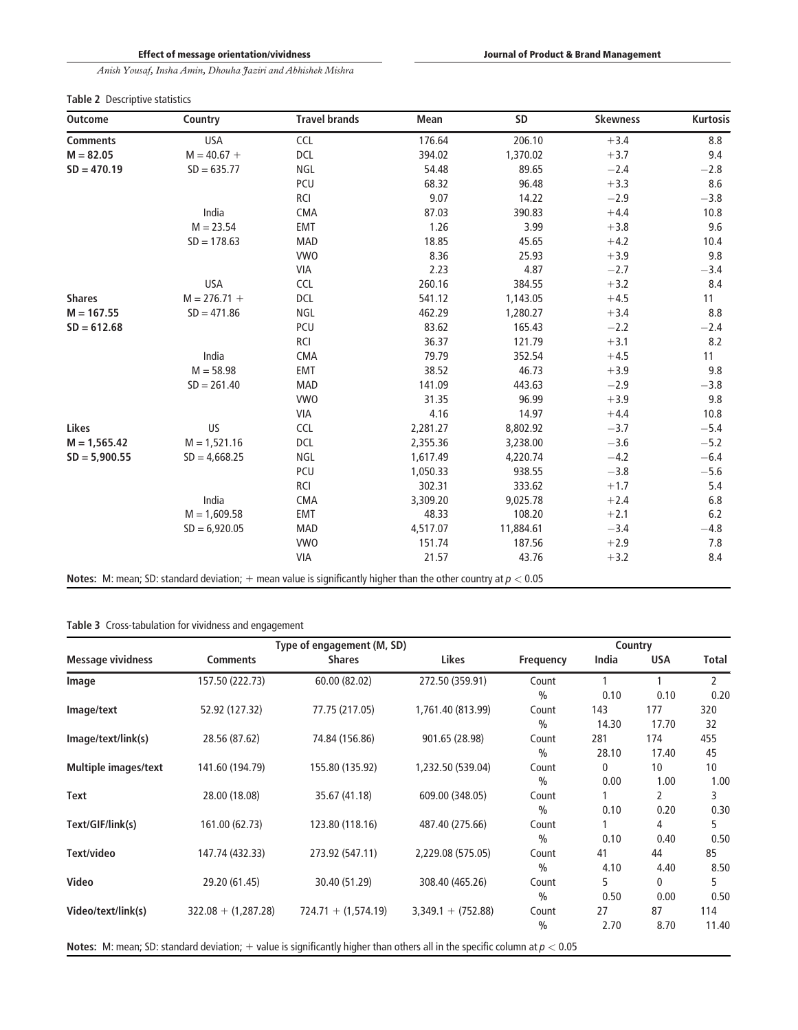# Table 2 Descriptive statistics

| <b>Outcome</b>  | Country         | <b>Travel brands</b>                                                                                              | Mean     | SD        | <b>Skewness</b> | Kurtosis |
|-----------------|-----------------|-------------------------------------------------------------------------------------------------------------------|----------|-----------|-----------------|----------|
| <b>Comments</b> | <b>USA</b>      | CCL                                                                                                               | 176.64   | 206.10    | $+3.4$          | 8.8      |
| $M = 82.05$     | $M = 40.67 +$   | DCL                                                                                                               | 394.02   | 1,370.02  | $+3.7$          | 9.4      |
| $SD = 470.19$   | $SD = 635.77$   | NGL                                                                                                               | 54.48    | 89.65     | $-2.4$          | $-2.8$   |
|                 |                 | PCU                                                                                                               | 68.32    | 96.48     | $+3.3$          | 8.6      |
|                 |                 | <b>RCI</b>                                                                                                        | 9.07     | 14.22     | $-2.9$          | $-3.8$   |
|                 | India           | CMA                                                                                                               | 87.03    | 390.83    | $+4.4$          | 10.8     |
|                 | $M = 23.54$     | EMT                                                                                                               | 1.26     | 3.99      | $+3.8$          | 9.6      |
|                 | $SD = 178.63$   | <b>MAD</b>                                                                                                        | 18.85    | 45.65     | $+4.2$          | 10.4     |
|                 |                 | <b>VWO</b>                                                                                                        | 8.36     | 25.93     | $+3.9$          | 9.8      |
|                 |                 | VIA                                                                                                               | 2.23     | 4.87      | $-2.7$          | $-3.4$   |
|                 | <b>USA</b>      | <b>CCL</b>                                                                                                        | 260.16   | 384.55    | $+3.2$          | 8.4      |
| <b>Shares</b>   | $M = 276.71 +$  | <b>DCL</b>                                                                                                        | 541.12   | 1,143.05  | $+4.5$          | 11       |
| $M = 167.55$    | $SD = 471.86$   | NGL                                                                                                               | 462.29   | 1,280.27  | $+3.4$          | 8.8      |
| $SD = 612.68$   |                 | PCU                                                                                                               | 83.62    | 165.43    | $-2.2$          | $-2.4$   |
|                 |                 | <b>RCI</b>                                                                                                        | 36.37    | 121.79    | $+3.1$          | 8.2      |
|                 | India           | CMA                                                                                                               | 79.79    | 352.54    | $+4.5$          | 11       |
|                 | $M = 58.98$     | EMT                                                                                                               | 38.52    | 46.73     | $+3.9$          | 9.8      |
|                 | $SD = 261.40$   | <b>MAD</b>                                                                                                        | 141.09   | 443.63    | $-2.9$          | $-3.8$   |
|                 |                 | <b>VWO</b>                                                                                                        | 31.35    | 96.99     | $+3.9$          | 9.8      |
|                 |                 | <b>VIA</b>                                                                                                        | 4.16     | 14.97     | $+4.4$          | 10.8     |
| Likes           | US              | <b>CCL</b>                                                                                                        | 2,281.27 | 8,802.92  | $-3.7$          | $-5.4$   |
| $M = 1,565.42$  | $M = 1,521.16$  | DCL                                                                                                               | 2,355.36 | 3,238.00  | $-3.6$          | $-5.2$   |
| $SD = 5,900.55$ | $SD = 4,668.25$ | NGL                                                                                                               | 1,617.49 | 4,220.74  | $-4.2$          | $-6.4$   |
|                 |                 | PCU                                                                                                               | 1,050.33 | 938.55    | $-3.8$          | $-5.6$   |
|                 |                 | RCI                                                                                                               | 302.31   | 333.62    | $+1.7$          | 5.4      |
|                 | India           | CMA                                                                                                               | 3,309.20 | 9,025.78  | $+2.4$          | 6.8      |
|                 | $M = 1,609.58$  | EMT                                                                                                               | 48.33    | 108.20    | $+2.1$          | 6.2      |
|                 | $SD = 6,920.05$ | <b>MAD</b>                                                                                                        | 4,517.07 | 11,884.61 | $-3.4$          | $-4.8$   |
|                 |                 | <b>VWO</b>                                                                                                        | 151.74   | 187.56    | $+2.9$          | 7.8      |
|                 |                 | <b>VIA</b>                                                                                                        | 21.57    | 43.76     | $+3.2$          | 8.4      |
|                 |                 | Notes: M: mean; SD: standard deviation; + mean value is significantly higher than the other country at $p < 0.05$ |          |           |                 |          |

# Table 3 Cross-tabulation for vividness and engagement

|                             |                       | Type of engagement (M, SD)                                                                                                          | Country              |               |       |                 |                |  |
|-----------------------------|-----------------------|-------------------------------------------------------------------------------------------------------------------------------------|----------------------|---------------|-------|-----------------|----------------|--|
| <b>Message vividness</b>    | <b>Comments</b>       | <b>Shares</b>                                                                                                                       | Likes                | Frequency     | India | <b>USA</b>      | Total          |  |
| Image                       | 157.50 (222.73)       | 60.00 (82.02)                                                                                                                       | 272.50 (359.91)      | Count         |       |                 | $\overline{2}$ |  |
|                             |                       |                                                                                                                                     |                      | $\frac{0}{0}$ | 0.10  | 0.10            | 0.20           |  |
| Image/text                  | 52.92 (127.32)        | 77.75 (217.05)                                                                                                                      | 1,761.40 (813.99)    | Count         | 143   | 177             | 320            |  |
|                             |                       |                                                                                                                                     |                      | $\frac{0}{0}$ | 14.30 | 17.70           | 32             |  |
| Image/text/link(s)          | 28.56 (87.62)         | 74.84 (156.86)                                                                                                                      | 901.65 (28.98)       | Count         | 281   | 174             | 455            |  |
|                             |                       |                                                                                                                                     |                      | $\frac{0}{0}$ | 28.10 | 17.40           | 45             |  |
| <b>Multiple images/text</b> | 141.60 (194.79)       | 155.80 (135.92)                                                                                                                     | 1,232.50 (539.04)    | Count         | 0     | 10 <sup>°</sup> | 10             |  |
|                             |                       |                                                                                                                                     |                      | $\frac{0}{0}$ | 0.00  | 1.00            | 1.00           |  |
| Text                        | 28.00 (18.08)         | 35.67 (41.18)                                                                                                                       | 609.00 (348.05)      | Count         |       | 2               | 3              |  |
|                             |                       |                                                                                                                                     |                      | $\frac{0}{0}$ | 0.10  | 0.20            | 0.30           |  |
| Text/GIF/link(s)            | 161.00 (62.73)        | 123.80 (118.16)                                                                                                                     | 487.40 (275.66)      | Count         |       | 4               | 5              |  |
|                             |                       |                                                                                                                                     |                      | $\frac{0}{0}$ | 0.10  | 0.40            | 0.50           |  |
| Text/video                  | 147.74 (432.33)       | 273.92 (547.11)                                                                                                                     | 2,229.08 (575.05)    | Count         | 41    | 44              | 85             |  |
|                             |                       |                                                                                                                                     |                      | $\frac{0}{0}$ | 4.10  | 4.40            | 8.50           |  |
| Video                       | 29.20 (61.45)         | 30.40 (51.29)                                                                                                                       | 308.40 (465.26)      | Count         | 5     | 0               | 5              |  |
|                             |                       |                                                                                                                                     |                      | $\frac{0}{0}$ | 0.50  | 0.00            | 0.50           |  |
| Video/text/link(s)          | $322.08 + (1,287.28)$ | $724.71 + (1,574.19)$                                                                                                               | $3,349.1 + (752.88)$ | Count         | 27    | 87              | 114            |  |
|                             |                       |                                                                                                                                     |                      | $\frac{0}{0}$ | 2.70  | 8.70            | 11.40          |  |
|                             |                       | <b>Notes:</b> M: mean; SD: standard deviation; + value is significantly higher than others all in the specific column at $p < 0.05$ |                      |               |       |                 |                |  |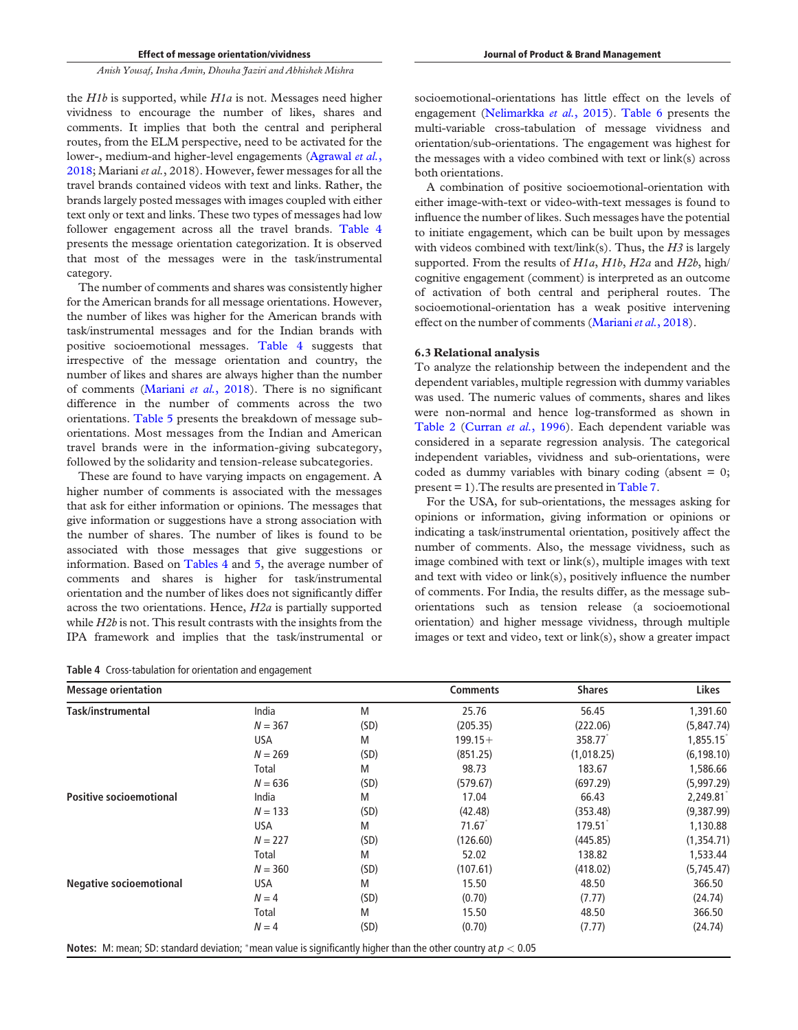the *H1b* is supported, while *H1a* is not. Messages need higher vividness to encourage the number of likes, shares and comments. It implies that both the central and peripheral routes, from the ELM perspective, need to be activated for the lower-, medium-and higher-level engagements (Agrawal *et al.*, 2018; Mariani *et al.*, 2018). However, fewer messages for all the travel brands contained videos with text and links. Rather, the brands largely posted messages with images coupled with either text only or text and links. These two types of messages had low follower engagement across all the travel brands. Table 4 presents the message orientation categorization. It is observed that most of the messages were in the task/instrumental category.

The number of comments and shares was consistently higher for the American brands for all message orientations. However, the number of likes was higher for the American brands with task/instrumental messages and for the Indian brands with positive socioemotional messages. Table 4 suggests that irrespective of the message orientation and country, the number of likes and shares are always higher than the number of comments (Mariani *et al.*, 2018). There is no significant difference in the number of comments across the two orientations. Table 5 presents the breakdown of message suborientations. Most messages from the Indian and American travel brands were in the information-giving subcategory, followed by the solidarity and tension-release subcategories.

These are found to have varying impacts on engagement. A higher number of comments is associated with the messages that ask for either information or opinions. The messages that give information or suggestions have a strong association with the number of shares. The number of likes is found to be associated with those messages that give suggestions or information. Based on Tables 4 and 5, the average number of comments and shares is higher for task/instrumental orientation and the number of likes does not significantly differ across the two orientations. Hence, *H2a* is partially supported while *H2b* is not. This result contrasts with the insights from the IPA framework and implies that the task/instrumental or

Table 4 Cross-tabulation for orientation and engagement

socioemotional-orientations has little effect on the levels of engagement (Nelimarkka *et al.*, 2015). Table 6 presents the multi-variable cross-tabulation of message vividness and orientation/sub-orientations. The engagement was highest for the messages with a video combined with text or link(s) across both orientations.

A combination of positive socioemotional-orientation with either image-with-text or video-with-text messages is found to influence the number of likes. Such messages have the potential to initiate engagement, which can be built upon by messages with videos combined with text/link(s). Thus, the *H3* is largely supported. From the results of *H1a*, *H1b*, *H2a* and *H2b*, high/ cognitive engagement (comment) is interpreted as an outcome of activation of both central and peripheral routes. The socioemotional-orientation has a weak positive intervening effect on the number of comments (Mariani*et al.*, 2018).

#### 6.3 Relational analysis

To analyze the relationship between the independent and the dependent variables, multiple regression with dummy variables was used. The numeric values of comments, shares and likes were non-normal and hence log-transformed as shown in Table 2 (Curran *et al.*, 1996). Each dependent variable was considered in a separate regression analysis. The categorical independent variables, vividness and sub-orientations, were coded as dummy variables with binary coding (absent  $= 0$ ; present = 1).The results are presented in Table 7.

For the USA, for sub-orientations, the messages asking for opinions or information, giving information or opinions or indicating a task/instrumental orientation, positively affect the number of comments. Also, the message vividness, such as image combined with text or link(s), multiple images with text and text with video or link(s), positively influence the number of comments. For India, the results differ, as the message suborientations such as tension release (a socioemotional orientation) and higher message vividness, through multiple images or text and video, text or link(s), show a greater impact

| <b>Message orientation</b>     |           |      | <b>Comments</b> | <b>Shares</b> | Likes       |
|--------------------------------|-----------|------|-----------------|---------------|-------------|
| Task/instrumental              | India     | M    | 25.76           | 56.45         | 1,391.60    |
|                                | $N = 367$ | (SD) | (205.35)        | (222.06)      | (5,847.74)  |
|                                | USA       | M    | $199.15+$       | 358.77        | 1,855.15    |
|                                | $N = 269$ | (SD) | (851.25)        | (1,018.25)    | (6, 198.10) |
|                                | Total     | M    | 98.73           | 183.67        | 1,586.66    |
|                                | $N = 636$ | (SD) | (579.67)        | (697.29)      | (5,997.29)  |
| <b>Positive socioemotional</b> | India     | M    | 17.04           | 66.43         | 2,249.81    |
|                                | $N = 133$ | (SD) | (42.48)         | (353.48)      | (9,387.99)  |
|                                | USA       | M    | 71.67           | 179.51        | 1,130.88    |
|                                | $N = 227$ | (SD) | (126.60)        | (445.85)      | (1,354.71)  |
|                                | Total     | M    | 52.02           | 138.82        | 1,533.44    |
|                                | $N = 360$ | (SD) | (107.61)        | (418.02)      | (5,745.47)  |
| <b>Negative socioemotional</b> | USA       | M    | 15.50           | 48.50         | 366.50      |
|                                | $N = 4$   | (SD) | (0.70)          | (7.77)        | (24.74)     |
|                                | Total     | M    | 15.50           | 48.50         | 366.50      |
|                                | $N = 4$   | (SD) | (0.70)          | (7.77)        | (24.74)     |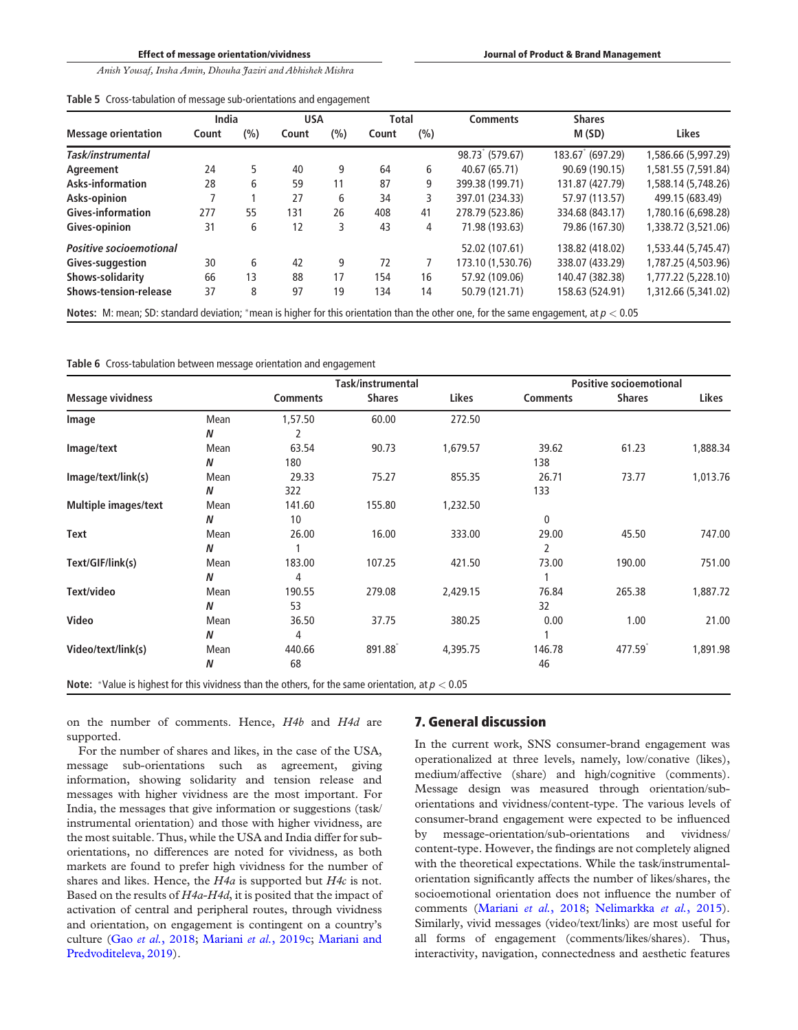Effect of message orientation/vividness

*Anish Yousaf, Insha Amin, Dhouha Jaziri and Abhishek Mishra*

|  |  | Table 5 Cross-tabulation of message sub-orientations and engagement |  |
|--|--|---------------------------------------------------------------------|--|
|--|--|---------------------------------------------------------------------|--|

|                                                                                                                                                | India |     | <b>USA</b> |     | <b>Total</b> |     | Comments          | <b>Shares</b>   |                     |  |
|------------------------------------------------------------------------------------------------------------------------------------------------|-------|-----|------------|-----|--------------|-----|-------------------|-----------------|---------------------|--|
| <b>Message orientation</b>                                                                                                                     | Count | (%) | Count      | (%) | Count        | (%) |                   | M(SD)           | <b>Likes</b>        |  |
| Task/instrumental                                                                                                                              |       |     |            |     |              |     | 98.73 (579.67)    | 183.67 (697.29) | 1,586.66 (5,997.29) |  |
| Agreement                                                                                                                                      | 24    | 5   | 40         | 9   | 64           | 6   | 40.67 (65.71)     | 90.69 (190.15)  | 1,581.55 (7,591.84) |  |
| Asks-information                                                                                                                               | 28    | 6   | 59         | 11  | 87           | 9   | 399.38 (199.71)   | 131.87 (427.79) | 1,588.14 (5,748.26) |  |
| Asks-opinion                                                                                                                                   | 7     |     | 27         | 6   | 34           | 3   | 397.01 (234.33)   | 57.97 (113.57)  | 499.15 (683.49)     |  |
| Gives-information                                                                                                                              | 277   | 55  | 131        | 26  | 408          | 41  | 278.79 (523.86)   | 334.68 (843.17) | 1,780.16 (6,698.28) |  |
| Gives-opinion                                                                                                                                  | 31    | 6   | 12         | 3   | 43           | 4   | 71.98 (193.63)    | 79.86 (167.30)  | 1,338.72 (3,521.06) |  |
| <b>Positive socioemotional</b>                                                                                                                 |       |     |            |     |              |     | 52.02 (107.61)    | 138.82 (418.02) | 1,533.44 (5,745.47) |  |
| Gives-suggestion                                                                                                                               | 30    | 6   | 42         | 9   | 72           |     | 173.10 (1,530.76) | 338.07 (433.29) | 1,787.25 (4,503.96) |  |
| Shows-solidarity                                                                                                                               | 66    | 13  | 88         | 17  | 154          | 16  | 57.92 (109.06)    | 140.47 (382.38) | 1,777.22 (5,228.10) |  |
| Shows-tension-release                                                                                                                          | 37    | 8   | 97         | 19  | 134          | 14  | 50.79 (121.71)    | 158.63 (524.91) | 1,312.66 (5,341.02) |  |
| <b>Notes:</b> M: mean; SD: standard deviation; *mean is higher for this orientation than the other one, for the same engagement, at $p < 0.05$ |       |     |            |     |              |     |                   |                 |                     |  |

Table 6 Cross-tabulation between message orientation and engagement

|                                                                                                     |      |                 | Task/instrumental |          |                 | <b>Positive socioemotional</b> |          |
|-----------------------------------------------------------------------------------------------------|------|-----------------|-------------------|----------|-----------------|--------------------------------|----------|
| <b>Message vividness</b>                                                                            |      | <b>Comments</b> | <b>Shares</b>     | Likes    | <b>Comments</b> | <b>Shares</b>                  | Likes    |
| Image                                                                                               | Mean | 1,57.50         | 60.00             | 272.50   |                 |                                |          |
|                                                                                                     | N    | 2               |                   |          |                 |                                |          |
| Image/text                                                                                          | Mean | 63.54           | 90.73             | 1,679.57 | 39.62           | 61.23                          | 1,888.34 |
|                                                                                                     | N    | 180             |                   |          | 138             |                                |          |
| Image/text/link(s)                                                                                  | Mean | 29.33           | 75.27             | 855.35   | 26.71           | 73.77                          | 1,013.76 |
|                                                                                                     | N    | 322             |                   |          | 133             |                                |          |
| <b>Multiple images/text</b>                                                                         | Mean | 141.60          | 155.80            | 1,232.50 |                 |                                |          |
|                                                                                                     | N    | 10              |                   |          | $\mathbf{0}$    |                                |          |
| Text                                                                                                | Mean | 26.00           | 16.00             | 333.00   | 29.00           | 45.50                          | 747.00   |
|                                                                                                     | N    |                 |                   |          | 2               |                                |          |
| Text/GIF/link(s)                                                                                    | Mean | 183.00          | 107.25            | 421.50   | 73.00           | 190.00                         | 751.00   |
|                                                                                                     | N    | 4               |                   |          |                 |                                |          |
| Text/video                                                                                          | Mean | 190.55          | 279.08            | 2,429.15 | 76.84           | 265.38                         | 1,887.72 |
|                                                                                                     | N    | 53              |                   |          | 32              |                                |          |
| Video                                                                                               | Mean | 36.50           | 37.75             | 380.25   | 0.00            | 1.00                           | 21.00    |
|                                                                                                     | N    | 4               |                   |          |                 |                                |          |
| Video/text/link(s)                                                                                  | Mean | 440.66          | 891.88            | 4,395.75 | 146.78          | 477.59                         | 1,891.98 |
|                                                                                                     | N    | 68              |                   |          | 46              |                                |          |
| Note: *Value is highest for this vividness than the others, for the same orientation, at $p < 0.05$ |      |                 |                   |          |                 |                                |          |

on the number of comments. Hence, *H4b* and *H4d* are supported.

For the number of shares and likes, in the case of the USA, message sub-orientations such as agreement, giving information, showing solidarity and tension release and messages with higher vividness are the most important. For India, the messages that give information or suggestions (task/ instrumental orientation) and those with higher vividness, are the most suitable. Thus, while the USA and India differ for suborientations, no differences are noted for vividness, as both markets are found to prefer high vividness for the number of shares and likes. Hence, the *H4a* is supported but *H4c* is not. Based on the results of *H4a*-*H4d*, it is posited that the impact of activation of central and peripheral routes, through vividness and orientation, on engagement is contingent on a country's culture (Gao *et al.*, 2018; Mariani *et al.*, 2019c; Mariani and Predvoditeleva, 2019).

# 7. General discussion

In the current work, SNS consumer-brand engagement was operationalized at three levels, namely, low/conative (likes), medium/affective (share) and high/cognitive (comments). Message design was measured through orientation/suborientations and vividness/content-type. The various levels of consumer-brand engagement were expected to be influenced by message-orientation/sub-orientations and vividness/ content-type. However, the findings are not completely aligned with the theoretical expectations. While the task/instrumentalorientation significantly affects the number of likes/shares, the socioemotional orientation does not influence the number of comments (Mariani *et al.*, 2018; Nelimarkka *et al.*, 2015). Similarly, vivid messages (video/text/links) are most useful for all forms of engagement (comments/likes/shares). Thus, interactivity, navigation, connectedness and aesthetic features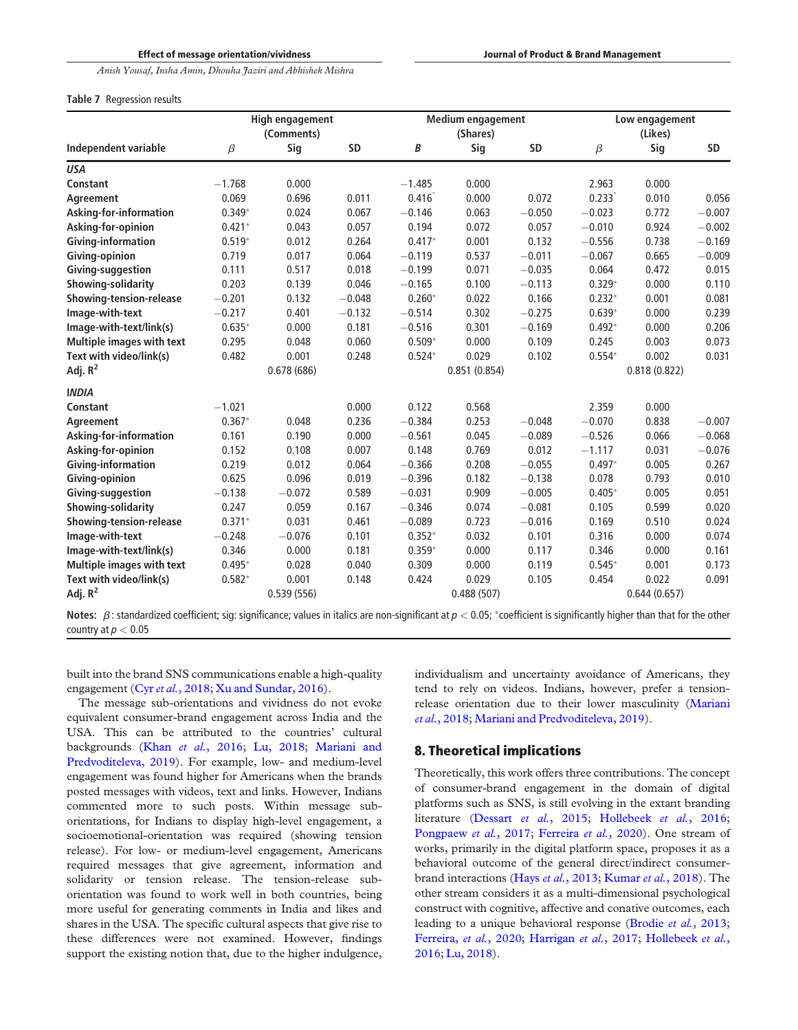#### Table 7 Regression results

|                           |          | High engagement<br>(Comments) |           |          | <b>Medium engagement</b><br>(Shares) |           |          | Low engagement<br>(Likes) |           |
|---------------------------|----------|-------------------------------|-----------|----------|--------------------------------------|-----------|----------|---------------------------|-----------|
| Independent variable      | $\beta$  | Sig                           | <b>SD</b> | B        | Sig                                  | <b>SD</b> | $\beta$  | Sig                       | <b>SD</b> |
| <b>USA</b>                |          |                               |           |          |                                      |           |          |                           |           |
| Constant                  | $-1.768$ | 0.000                         |           | $-1.485$ | 0.000                                |           | 2.963    | 0.000                     |           |
| Agreement                 | 0.069    | 0.696                         | 0.011     | 0.416    | 0.000                                | 0.072     | 0.233    | 0.010                     | 0.056     |
| Asking-for-information    | $0.349*$ | 0.024                         | 0.067     | $-0.146$ | 0.063                                | $-0.050$  | $-0.023$ | 0.772                     | $-0.007$  |
| Asking-for-opinion        | $0.421*$ | 0.043                         | 0.057     | 0.194    | 0.072                                | 0.057     | $-0.010$ | 0.924                     | $-0.002$  |
| Giving-information        | $0.519*$ | 0.012                         | 0.264     | $0.417*$ | 0.001                                | 0.132     | $-0.556$ | 0.738                     | $-0.169$  |
| Giving-opinion            | 0.719    | 0.017                         | 0.064     | $-0.119$ | 0.537                                | $-0.011$  | $-0.067$ | 0.665                     | $-0.009$  |
| Giving-suggestion         | 0.111    | 0.517                         | 0.018     | $-0.199$ | 0.071                                | $-0.035$  | 0.064    | 0.472                     | 0.015     |
| Showing-solidarity        | 0.203    | 0.139                         | 0.046     | $-0.165$ | 0.100                                | $-0.113$  | $0.329*$ | 0.000                     | 0.110     |
| Showing-tension-release   | $-0.201$ | 0.132                         | $-0.048$  | $0.260*$ | 0.022                                | 0.166     | $0.232*$ | 0.001                     | 0.081     |
| Image-with-text           | $-0.217$ | 0.401                         | $-0.132$  | $-0.514$ | 0.302                                | $-0.275$  | $0.639*$ | 0.000                     | 0.239     |
| Image-with-text/link(s)   | $0.635*$ | 0.000                         | 0.181     | $-0.516$ | 0.301                                | $-0.169$  | $0.492*$ | 0.000                     | 0.206     |
| Multiple images with text | 0.295    | 0.048                         | 0.060     | $0.509*$ | 0.000                                | 0.109     | 0.245    | 0.003                     | 0.073     |
| Text with video/link(s)   | 0.482    | 0.001                         | 0.248     | $0.524*$ | 0.029                                | 0.102     | $0.554*$ | 0.002                     | 0.031     |
| Adj. $R^2$                |          | 0.678(686)                    |           |          | 0.851(0.854)                         |           |          | 0.818(0.822)              |           |
| <b>INDIA</b>              |          |                               |           |          |                                      |           |          |                           |           |
| Constant                  | $-1.021$ |                               | 0.000     | 0.122    | 0.568                                |           | 2.359    | 0.000                     |           |
| Agreement                 | $0.367*$ | 0.048                         | 0.236     | $-0.384$ | 0.253                                | $-0.048$  | $-0.070$ | 0.838                     | $-0.007$  |
| Asking-for-information    | 0.161    | 0.190                         | 0.000     | $-0.561$ | 0.045                                | $-0.089$  | $-0.526$ | 0.066                     | $-0.068$  |
| Asking-for-opinion        | 0.152    | 0.108                         | 0.007     | 0.148    | 0.769                                | 0.012     | $-1.117$ | 0.031                     | $-0.076$  |
| Giving-information        | 0.219    | 0.012                         | 0.064     | $-0.366$ | 0.208                                | $-0.055$  | $0.497*$ | 0.005                     | 0.267     |
| Giving-opinion            | 0.625    | 0.096                         | 0.019     | $-0.396$ | 0.182                                | $-0.138$  | 0.078    | 0.793                     | 0.010     |
| Giving-suggestion         | $-0.138$ | $-0.072$                      | 0.589     | $-0.031$ | 0.909                                | $-0.005$  | $0.405*$ | 0.005                     | 0.051     |
| Showing-solidarity        | 0.247    | 0.059                         | 0.167     | $-0.346$ | 0.074                                | $-0.081$  | 0.105    | 0.599                     | 0.020     |
| Showing-tension-release   | $0.371*$ | 0.031                         | 0.461     | $-0.089$ | 0.723                                | $-0.016$  | 0.169    | 0.510                     | 0.024     |
| Image-with-text           | $-0.248$ | $-0.076$                      | 0.101     | $0.352*$ | 0.032                                | 0.101     | 0.316    | 0.000                     | 0.074     |
| Image-with-text/link(s)   | 0.346    | 0.000                         | 0.181     | $0.359*$ | 0.000                                | 0.117     | 0.346    | 0.000                     | 0.161     |
| Multiple images with text | $0.495*$ | 0.028                         | 0.040     | 0.309    | 0.000                                | 0.119     | $0.545*$ | 0.001                     | 0.173     |
| Text with video/link(s)   | $0.582*$ | 0.001                         | 0.148     | 0.424    | 0.029                                | 0.105     | 0.454    | 0.022                     | 0.091     |
| Adj. $R^2$                |          | 0.539(556)                    |           |          | 0.488(507)                           |           |          | 0.644(0.657)              |           |
|                           |          |                               |           |          |                                      |           |          |                           |           |

Notes:  $\beta$ : standardized coefficient; sig: significance; values in italics are non-significant at  $p < 0.05$ ; \*coefficient is significantly higher than that for the other country at  $p < 0.05$ 

built into the brand SNS communications enable a high-quality engagement (Cyr *et al.*, 2018; Xu and Sundar, 2016).

The message sub-orientations and vividness do not evoke equivalent consumer-brand engagement across India and the USA. This can be attributed to the countries' cultural backgrounds (Khan *et al.*, 2016; Lu, 2018; Mariani and Predvoditeleva, 2019). For example, low- and medium-level engagement was found higher for Americans when the brands posted messages with videos, text and links. However, Indians commented more to such posts. Within message suborientations, for Indians to display high-level engagement, a socioemotional-orientation was required (showing tension release). For low- or medium-level engagement, Americans required messages that give agreement, information and solidarity or tension release. The tension-release suborientation was found to work well in both countries, being more useful for generating comments in India and likes and shares in the USA. The specific cultural aspects that give rise to these differences were not examined. However, findings support the existing notion that, due to the higher indulgence,

individualism and uncertainty avoidance of Americans, they tend to rely on videos. Indians, however, prefer a tensionrelease orientation due to their lower masculinity (Mariani *et al.*, 2018; Mariani and Predvoditeleva, 2019).

# 8. Theoretical implications

Theoretically, this work offers three contributions. The concept of consumer-brand engagement in the domain of digital platforms such as SNS, is still evolving in the extant branding literature (Dessart *et al.*, 2015; Hollebeek *et al.*, 2016; Pongpaew *et al.*, 2017; Ferreira *et al.*, 2020). One stream of works, primarily in the digital platform space, proposes it as a behavioral outcome of the general direct/indirect consumerbrand interactions (Hays *et al.*, 2013; Kumar *et al.*, 2018). The other stream considers it as a multi-dimensional psychological construct with cognitive, affective and conative outcomes, each leading to a unique behavioral response (Brodie *et al.*, 2013; Ferreira, *et al.*, 2020; Harrigan *et al.*, 2017; Hollebeek *et al.*, 2016; Lu, 2018).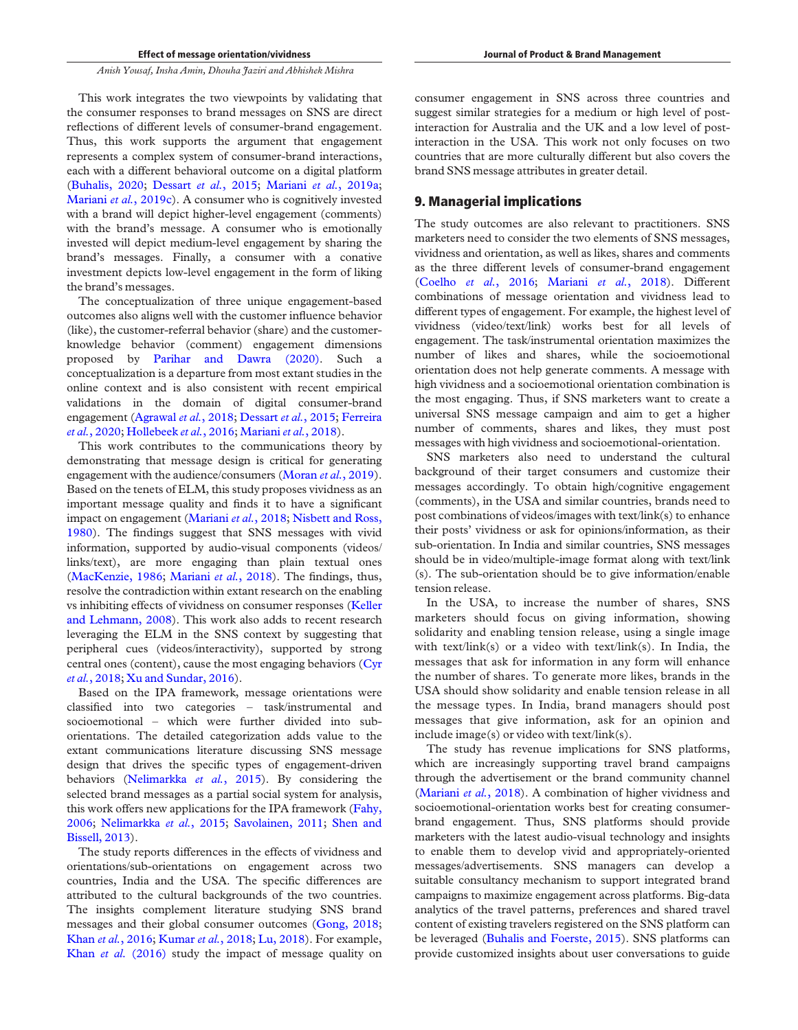This work integrates the two viewpoints by validating that the consumer responses to brand messages on SNS are direct reflections of different levels of consumer-brand engagement. Thus, this work supports the argument that engagement represents a complex system of consumer-brand interactions, each with a different behavioral outcome on a digital platform (Buhalis, 2020; Dessart *et al.*, 2015; Mariani *et al.*, 2019a; Mariani *et al.*, 2019c). A consumer who is cognitively invested with a brand will depict higher-level engagement (comments) with the brand's message. A consumer who is emotionally invested will depict medium-level engagement by sharing the brand's messages. Finally, a consumer with a conative investment depicts low-level engagement in the form of liking the brand's messages.

The conceptualization of three unique engagement-based outcomes also aligns well with the customer influence behavior (like), the customer-referral behavior (share) and the customerknowledge behavior (comment) engagement dimensions proposed by Parihar and Dawra (2020). Such a conceptualization is a departure from most extant studies in the online context and is also consistent with recent empirical validations in the domain of digital consumer-brand engagement (Agrawal *et al.*, 2018; Dessart *et al.*, 2015; Ferreira *et al.*, 2020; Hollebeek *et al.*, 2016; Mariani *et al.*, 2018).

This work contributes to the communications theory by demonstrating that message design is critical for generating engagement with the audience/consumers (Moran *et al.*, 2019). Based on the tenets of ELM, this study proposes vividness as an important message quality and finds it to have a significant impact on engagement (Mariani *et al.*, 2018; Nisbett and Ross, 1980). The findings suggest that SNS messages with vivid information, supported by audio-visual components (videos/ links/text), are more engaging than plain textual ones (MacKenzie, 1986; Mariani *et al.*, 2018). The findings, thus, resolve the contradiction within extant research on the enabling vs inhibiting effects of vividness on consumer responses (Keller and Lehmann, 2008). This work also adds to recent research leveraging the ELM in the SNS context by suggesting that peripheral cues (videos/interactivity), supported by strong central ones (content), cause the most engaging behaviors (Cyr *et al.*, 2018; Xu and Sundar, 2016).

Based on the IPA framework, message orientations were classified into two categories – task/instrumental and socioemotional – which were further divided into suborientations. The detailed categorization adds value to the extant communications literature discussing SNS message design that drives the specific types of engagement-driven behaviors (Nelimarkka *et al.*, 2015). By considering the selected brand messages as a partial social system for analysis, this work offers new applications for the IPA framework (Fahy, 2006; Nelimarkka *et al.*, 2015; Savolainen, 2011; Shen and Bissell, 2013).

The study reports differences in the effects of vividness and orientations/sub-orientations on engagement across two countries, India and the USA. The specific differences are attributed to the cultural backgrounds of the two countries. The insights complement literature studying SNS brand messages and their global consumer outcomes (Gong, 2018; Khan *et al.*, 2016; Kumar *et al.*, 2018; Lu, 2018). For example, Khan *et al.* (2016) study the impact of message quality on

consumer engagement in SNS across three countries and suggest similar strategies for a medium or high level of postinteraction for Australia and the UK and a low level of postinteraction in the USA. This work not only focuses on two countries that are more culturally different but also covers the brand SNS message attributes in greater detail.

# 9. Managerial implications

The study outcomes are also relevant to practitioners. SNS marketers need to consider the two elements of SNS messages, vividness and orientation, as well as likes, shares and comments as the three different levels of consumer-brand engagement (Coelho *et al.*, 2016; Mariani *et al.*, 2018). Different combinations of message orientation and vividness lead to different types of engagement. For example, the highest level of vividness (video/text/link) works best for all levels of engagement. The task/instrumental orientation maximizes the number of likes and shares, while the socioemotional orientation does not help generate comments. A message with high vividness and a socioemotional orientation combination is the most engaging. Thus, if SNS marketers want to create a universal SNS message campaign and aim to get a higher number of comments, shares and likes, they must post messages with high vividness and socioemotional-orientation.

SNS marketers also need to understand the cultural background of their target consumers and customize their messages accordingly. To obtain high/cognitive engagement (comments), in the USA and similar countries, brands need to post combinations of videos/images with text/link(s) to enhance their posts' vividness or ask for opinions/information, as their sub-orientation. In India and similar countries, SNS messages should be in video/multiple-image format along with text/link (s). The sub-orientation should be to give information/enable tension release.

In the USA, to increase the number of shares, SNS marketers should focus on giving information, showing solidarity and enabling tension release, using a single image with text/link(s) or a video with text/link(s). In India, the messages that ask for information in any form will enhance the number of shares. To generate more likes, brands in the USA should show solidarity and enable tension release in all the message types. In India, brand managers should post messages that give information, ask for an opinion and include image(s) or video with text/link(s).

The study has revenue implications for SNS platforms, which are increasingly supporting travel brand campaigns through the advertisement or the brand community channel (Mariani *et al.*, 2018). A combination of higher vividness and socioemotional-orientation works best for creating consumerbrand engagement. Thus, SNS platforms should provide marketers with the latest audio-visual technology and insights to enable them to develop vivid and appropriately-oriented messages/advertisements. SNS managers can develop a suitable consultancy mechanism to support integrated brand campaigns to maximize engagement across platforms. Big-data analytics of the travel patterns, preferences and shared travel content of existing travelers registered on the SNS platform can be leveraged (Buhalis and Foerste, 2015). SNS platforms can provide customized insights about user conversations to guide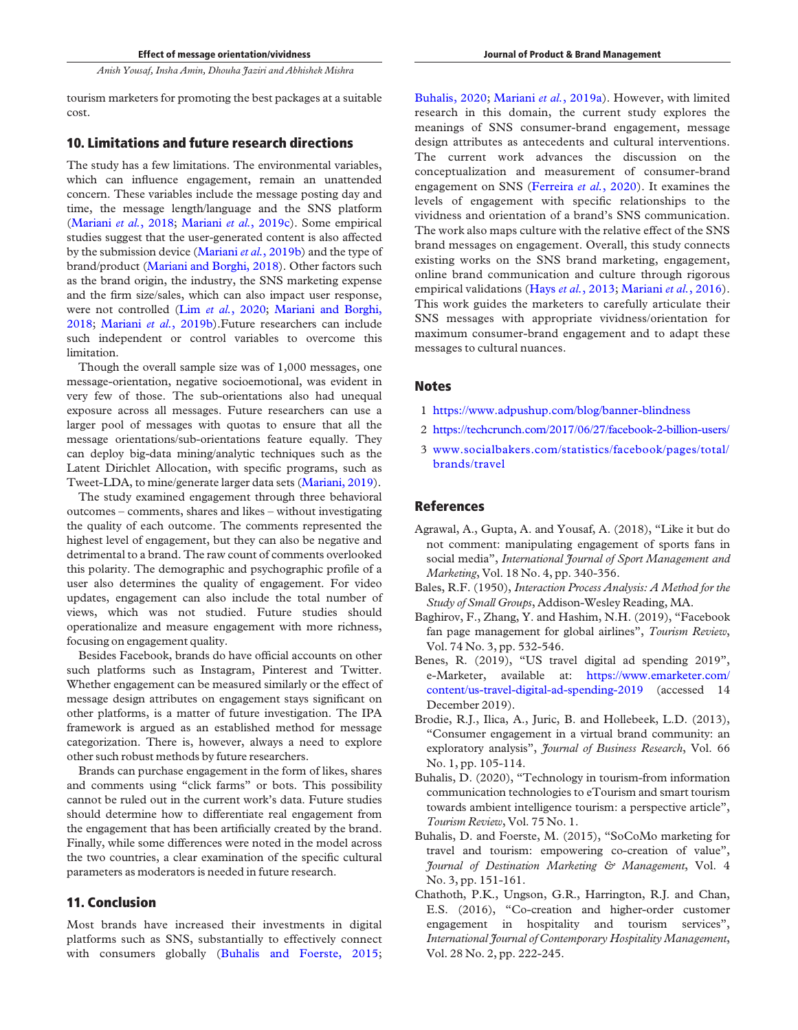tourism marketers for promoting the best packages at a suitable cost.

# 10. Limitations and future research directions

The study has a few limitations. The environmental variables, which can influence engagement, remain an unattended concern. These variables include the message posting day and time, the message length/language and the SNS platform (Mariani *et al.*, 2018; Mariani *et al.*, 2019c). Some empirical studies suggest that the user-generated content is also affected by the submission device (Mariani *et al.*, 2019b) and the type of brand/product (Mariani and Borghi, 2018). Other factors such as the brand origin, the industry, the SNS marketing expense and the firm size/sales, which can also impact user response, were not controlled (Lim *et al.*, 2020; Mariani and Borghi, 2018; Mariani *et al.*, 2019b).Future researchers can include such independent or control variables to overcome this limitation.

Though the overall sample size was of 1,000 messages, one message-orientation, negative socioemotional, was evident in very few of those. The sub-orientations also had unequal exposure across all messages. Future researchers can use a larger pool of messages with quotas to ensure that all the message orientations/sub-orientations feature equally. They can deploy big-data mining/analytic techniques such as the Latent Dirichlet Allocation, with specific programs, such as Tweet-LDA, to mine/generate larger data sets (Mariani, 2019).

The study examined engagement through three behavioral outcomes – comments, shares and likes – without investigating the quality of each outcome. The comments represented the highest level of engagement, but they can also be negative and detrimental to a brand. The raw count of comments overlooked this polarity. The demographic and psychographic profile of a user also determines the quality of engagement. For video updates, engagement can also include the total number of views, which was not studied. Future studies should operationalize and measure engagement with more richness, focusing on engagement quality.

Besides Facebook, brands do have official accounts on other such platforms such as Instagram, Pinterest and Twitter. Whether engagement can be measured similarly or the effect of message design attributes on engagement stays significant on other platforms, is a matter of future investigation. The IPA framework is argued as an established method for message categorization. There is, however, always a need to explore other such robust methods by future researchers.

Brands can purchase engagement in the form of likes, shares and comments using "click farms" or bots. This possibility cannot be ruled out in the current work's data. Future studies should determine how to differentiate real engagement from the engagement that has been artificially created by the brand. Finally, while some differences were noted in the model across the two countries, a clear examination of the specific cultural parameters as moderators is needed in future research.

# 11. Conclusion

Most brands have increased their investments in digital platforms such as SNS, substantially to effectively connect with consumers globally (Buhalis and Foerste, 2015; Buhalis, 2020; Mariani *et al.*, 2019a). However, with limited research in this domain, the current study explores the meanings of SNS consumer-brand engagement, message design attributes as antecedents and cultural interventions. The current work advances the discussion on the conceptualization and measurement of consumer-brand engagement on SNS (Ferreira *et al.*, 2020). It examines the levels of engagement with specific relationships to the vividness and orientation of a brand's SNS communication. The work also maps culture with the relative effect of the SNS brand messages on engagement. Overall, this study connects existing works on the SNS brand marketing, engagement, online brand communication and culture through rigorous empirical validations (Hays *et al.*, 2013; Mariani *et al.*, 2016). This work guides the marketers to carefully articulate their SNS messages with appropriate vividness/orientation for maximum consumer-brand engagement and to adapt these messages to cultural nuances.

#### **Notes**

- 1 https://www.adpushup.com/blog/banner-blindness
- 2 https://techcrunch.com/2017/06/27/facebook-2-billion-users/
- 3 www.socialbakers.com/statistics/facebook/pages/total/ brands/travel

# References

- Agrawal, A., Gupta, A. and Yousaf, A. (2018), "Like it but do not comment: manipulating engagement of sports fans in social media", *International Journal of Sport Management and Marketing*, Vol. 18 No. 4, pp. 340-356.
- Bales, R.F. (1950), *Interaction Process Analysis: A Method for the Study of Small Groups*, Addison-Wesley Reading, MA.
- Baghirov, F., Zhang, Y. and Hashim, N.H. (2019), "Facebook fan page management for global airlines", *Tourism Review*, Vol. 74 No. 3, pp. 532-546.
- Benes, R. (2019), "US travel digital ad spending 2019", e-Marketer, available at: https://www.emarketer.com/ content/us-travel-digital-ad-spending-2019 (accessed 14 December 2019).
- Brodie, R.J., Ilica, A., Juric, B. and Hollebeek, L.D. (2013), "Consumer engagement in a virtual brand community: an exploratory analysis", *Journal of Business Research*, Vol. 66 No. 1, pp. 105-114.
- Buhalis, D. (2020), "Technology in tourism-from information communication technologies to eTourism and smart tourism towards ambient intelligence tourism: a perspective article", *Tourism Review*, Vol. 75 No. 1.
- Buhalis, D. and Foerste, M. (2015), "SoCoMo marketing for travel and tourism: empowering co-creation of value", *Journal of Destination Marketing & Management*, Vol. 4 No. 3, pp. 151-161.
- Chathoth, P.K., Ungson, G.R., Harrington, R.J. and Chan, E.S. (2016), "Co-creation and higher-order customer engagement in hospitality and tourism services", *International Journal of Contemporary Hospitality Management*, Vol. 28 No. 2, pp. 222-245.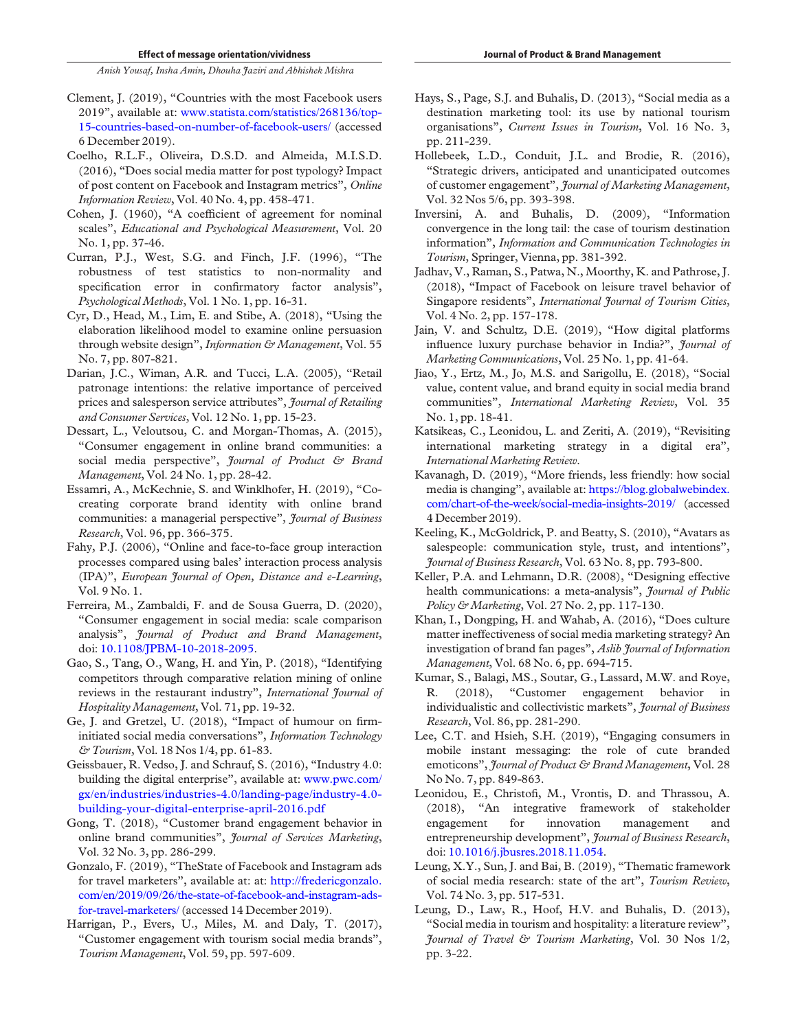- Clement, J. (2019), "Countries with the most Facebook users 2019", available at: www.statista.com/statistics/268136/top-15-countries-based-on-number-of-facebook-users/ (accessed 6 December 2019).
- Coelho, R.L.F., Oliveira, D.S.D. and Almeida, M.I.S.D. (2016), "Does social media matter for post typology? Impact of post content on Facebook and Instagram metrics", *Online Information Review*, Vol. 40 No. 4, pp. 458-471.
- Cohen, J. (1960), "A coefficient of agreement for nominal scales", *Educational and Psychological Measurement*, Vol. 20 No. 1, pp. 37-46.
- Curran, P.J., West, S.G. and Finch, J.F. (1996), "The robustness of test statistics to non-normality and specification error in confirmatory factor analysis", *Psychological Methods*, Vol. 1 No. 1, pp. 16-31.
- Cyr, D., Head, M., Lim, E. and Stibe, A. (2018), "Using the elaboration likelihood model to examine online persuasion through website design", *Information & Management*, Vol. 55 No. 7, pp. 807-821.
- Darian, J.C., Wiman, A.R. and Tucci, L.A. (2005), "Retail patronage intentions: the relative importance of perceived prices and salesperson service attributes", *Journal of Retailing and Consumer Services*, Vol. 12 No. 1, pp. 15-23.
- Dessart, L., Veloutsou, C. and Morgan-Thomas, A. (2015), "Consumer engagement in online brand communities: a social media perspective", *Journal of Product & Brand Management*, Vol. 24 No. 1, pp. 28-42.
- Essamri, A., McKechnie, S. and Winklhofer, H. (2019), "Cocreating corporate brand identity with online brand communities: a managerial perspective", *Journal of Business Research*, Vol. 96, pp. 366-375.
- Fahy, P.J. (2006), "Online and face-to-face group interaction processes compared using bales' interaction process analysis (IPA)", *European Journal of Open, Distance and e-Learning*, Vol. 9 No. 1.
- Ferreira, M., Zambaldi, F. and de Sousa Guerra, D. (2020), "Consumer engagement in social media: scale comparison analysis", *Journal of Product and Brand Management*, doi: 10.1108/JPBM-10-2018-2095.
- Gao, S., Tang, O., Wang, H. and Yin, P. (2018), "Identifying competitors through comparative relation mining of online reviews in the restaurant industry", *International Journal of Hospitality Management*, Vol. 71, pp. 19-32.
- Ge, J. and Gretzel, U. (2018), "Impact of humour on firminitiated social media conversations", *Information Technology & Tourism*, Vol. 18 Nos 1/4, pp. 61-83.
- Geissbauer, R. Vedso, J. and Schrauf, S. (2016), "Industry 4.0: building the digital enterprise", available at: www.pwc.com/ gx/en/industries/industries-4.0/landing-page/industry-4.0 building-your-digital-enterprise-april-2016.pdf
- Gong, T. (2018), "Customer brand engagement behavior in online brand communities", *Journal of Services Marketing*, Vol. 32 No. 3, pp. 286-299.
- Gonzalo, F. (2019), "TheState of Facebook and Instagram ads for travel marketers", available at: at: http://fredericgonzalo. com/en/2019/09/26/the-state-of-facebook-and-instagram-adsfor-travel-marketers/(accessed 14 December 2019).
- Harrigan, P., Evers, U., Miles, M. and Daly, T. (2017), "Customer engagement with tourism social media brands", *Tourism Management*, Vol. 59, pp. 597-609.
- Hays, S., Page, S.J. and Buhalis, D. (2013), "Social media as a destination marketing tool: its use by national tourism organisations", *Current Issues in Tourism*, Vol. 16 No. 3, pp. 211-239.
- Hollebeek, L.D., Conduit, J.L. and Brodie, R. (2016), "Strategic drivers, anticipated and unanticipated outcomes of customer engagement", *Journal of Marketing Management*, Vol. 32 Nos 5/6, pp. 393-398.
- Inversini, A. and Buhalis, D. (2009), "Information convergence in the long tail: the case of tourism destination information", *Information and Communication Technologies in Tourism*, Springer, Vienna, pp. 381-392.
- Jadhav, V., Raman, S., Patwa, N., Moorthy, K. and Pathrose, J. (2018), "Impact of Facebook on leisure travel behavior of Singapore residents", *International Journal of Tourism Cities*, Vol. 4 No. 2, pp. 157-178.
- Jain, V. and Schultz, D.E. (2019), "How digital platforms influence luxury purchase behavior in India?", *Journal of Marketing Communications*, Vol. 25 No. 1, pp. 41-64.
- Jiao, Y., Ertz, M., Jo, M.S. and Sarigollu, E. (2018), "Social value, content value, and brand equity in social media brand communities", *International Marketing Review*, Vol. 35 No. 1, pp. 18-41.
- Katsikeas, C., Leonidou, L. and Zeriti, A. (2019), "Revisiting international marketing strategy in a digital era", *International Marketing Review*.
- Kavanagh, D. (2019), "More friends, less friendly: how social media is changing", available at: https://blog.globalwebindex. com/chart-of-the-week/social-media-insights-2019/ (accessed 4 December 2019).
- Keeling, K., McGoldrick, P. and Beatty, S. (2010), "Avatars as salespeople: communication style, trust, and intentions", *Journal of Business Research*, Vol. 63 No. 8, pp. 793-800.
- Keller, P.A. and Lehmann, D.R. (2008), "Designing effective health communications: a meta-analysis", *Journal of Public Policy & Marketing*, Vol. 27 No. 2, pp. 117-130.
- Khan, I., Dongping, H. and Wahab, A. (2016), "Does culture matter ineffectiveness of social media marketing strategy? An investigation of brand fan pages", *Aslib Journal of Information Management*, Vol. 68 No. 6, pp. 694-715.
- Kumar, S., Balagi, MS., Soutar, G., Lassard, M.W. and Roye, R. (2018), "Customer engagement behavior in individualistic and collectivistic markets", *Journal of Business Research*, Vol. 86, pp. 281-290.
- Lee, C.T. and Hsieh, S.H. (2019), "Engaging consumers in mobile instant messaging: the role of cute branded emoticons", *Journal of Product & Brand Management*, Vol. 28 No No. 7, pp. 849-863.
- Leonidou, E., Christofi, M., Vrontis, D. and Thrassou, A. (2018), "An integrative framework of stakeholder engagement for innovation management and entrepreneurship development", *Journal of Business Research*, doi: 10.1016/j.jbusres.2018.11.054.
- Leung, X.Y., Sun, J. and Bai, B. (2019), "Thematic framework of social media research: state of the art", *Tourism Review*, Vol. 74 No. 3, pp. 517-531.
- Leung, D., Law, R., Hoof, H.V. and Buhalis, D. (2013), "Social media in tourism and hospitality: a literature review", *Journal of Travel & Tourism Marketing*, Vol. 30 Nos 1/2, pp. 3-22.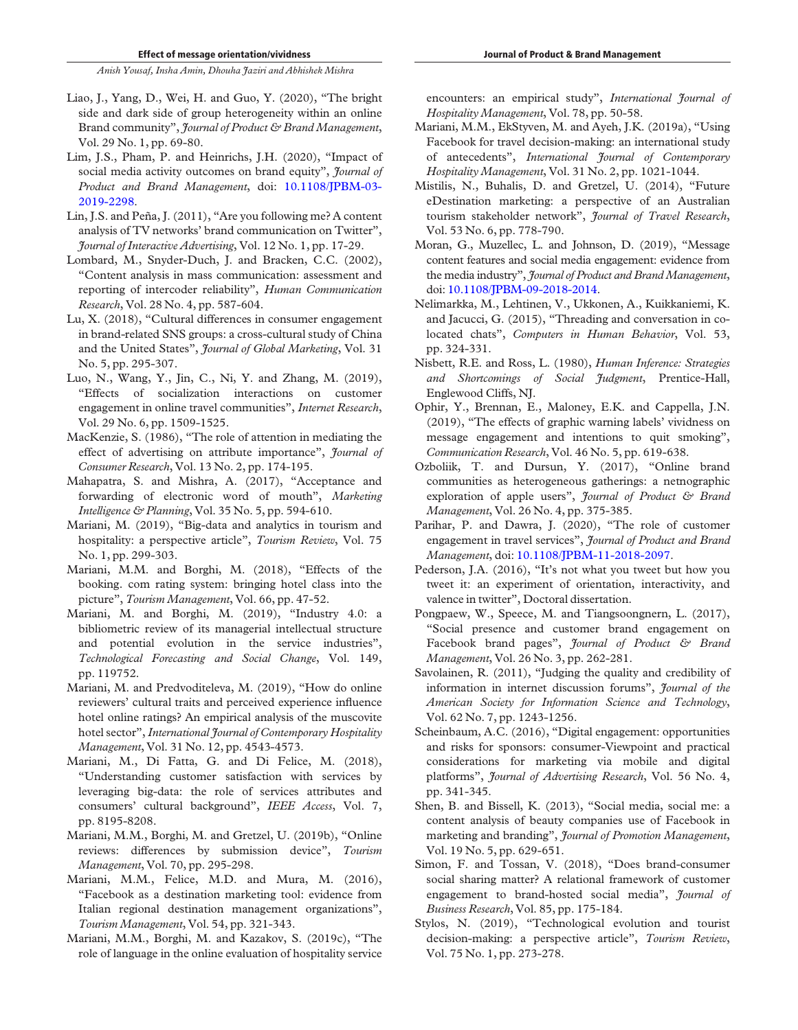- Liao, J., Yang, D., Wei, H. and Guo, Y. (2020), "The bright side and dark side of group heterogeneity within an online Brand community", *Journal of Product & Brand Management*, Vol. 29 No. 1, pp. 69-80.
- Lim, J.S., Pham, P. and Heinrichs, J.H. (2020), "Impact of social media activity outcomes on brand equity", *Journal of Product and Brand Management*, doi: 10.1108/JPBM-03- 2019-2298.
- Lin, J.S. and Peña, J. (2011), "Are you following me? A content analysis of TV networks' brand communication on Twitter", *Journal of Interactive Advertising*, Vol. 12 No. 1, pp. 17-29.
- Lombard, M., Snyder-Duch, J. and Bracken, C.C. (2002), "Content analysis in mass communication: assessment and reporting of intercoder reliability", *Human Communication Research*, Vol. 28 No. 4, pp. 587-604.
- Lu, X. (2018), "Cultural differences in consumer engagement in brand-related SNS groups: a cross-cultural study of China and the United States", *Journal of Global Marketing*, Vol. 31 No. 5, pp. 295-307.
- Luo, N., Wang, Y., Jin, C., Ni, Y. and Zhang, M. (2019), "Effects of socialization interactions on customer engagement in online travel communities", *Internet Research*, Vol. 29 No. 6, pp. 1509-1525.
- MacKenzie, S. (1986), "The role of attention in mediating the effect of advertising on attribute importance", *Journal of Consumer Research*, Vol. 13 No. 2, pp. 174-195.
- Mahapatra, S. and Mishra, A. (2017), "Acceptance and forwarding of electronic word of mouth", *Marketing Intelligence & Planning*, Vol. 35 No. 5, pp. 594-610.
- Mariani, M. (2019), "Big-data and analytics in tourism and hospitality: a perspective article", *Tourism Review*, Vol. 75 No. 1, pp. 299-303.
- Mariani, M.M. and Borghi, M. (2018), "Effects of the booking. com rating system: bringing hotel class into the picture", *Tourism Management*, Vol. 66, pp. 47-52.
- Mariani, M. and Borghi, M. (2019), "Industry 4.0: a bibliometric review of its managerial intellectual structure and potential evolution in the service industries", *Technological Forecasting and Social Change*, Vol. 149, pp. 119752.
- Mariani, M. and Predvoditeleva, M. (2019), "How do online reviewers' cultural traits and perceived experience influence hotel online ratings? An empirical analysis of the muscovite hotel sector", *International Journal of Contemporary Hospitality Management*, Vol. 31 No. 12, pp. 4543-4573.
- Mariani, M., Di Fatta, G. and Di Felice, M. (2018), "Understanding customer satisfaction with services by leveraging big-data: the role of services attributes and consumers' cultural background", *IEEE Access*, Vol. 7, pp. 8195-8208.
- Mariani, M.M., Borghi, M. and Gretzel, U. (2019b), "Online reviews: differences by submission device", *Tourism Management*, Vol. 70, pp. 295-298.
- Mariani, M.M., Felice, M.D. and Mura, M. (2016), "Facebook as a destination marketing tool: evidence from Italian regional destination management organizations", *Tourism Management*, Vol. 54, pp. 321-343.
- Mariani, M.M., Borghi, M. and Kazakov, S. (2019c), "The role of language in the online evaluation of hospitality service

encounters: an empirical study", *International Journal of Hospitality Management*, Vol. 78, pp. 50-58.

- Mariani, M.M., EkStyven, M. and Ayeh, J.K. (2019a), "Using Facebook for travel decision-making: an international study of antecedents", *International Journal of Contemporary Hospitality Management*, Vol. 31 No. 2, pp. 1021-1044.
- Mistilis, N., Buhalis, D. and Gretzel, U. (2014), "Future eDestination marketing: a perspective of an Australian tourism stakeholder network", *Journal of Travel Research*, Vol. 53 No. 6, pp. 778-790.
- Moran, G., Muzellec, L. and Johnson, D. (2019), "Message content features and social media engagement: evidence from the media industry", *Journal of Product and Brand Management*, doi: 10.1108/JPBM-09-2018-2014.
- Nelimarkka, M., Lehtinen, V., Ukkonen, A., Kuikkaniemi, K. and Jacucci, G. (2015), "Threading and conversation in colocated chats", *Computers in Human Behavior*, Vol. 53, pp. 324-331.
- Nisbett, R.E. and Ross, L. (1980), *Human Inference: Strategies and Shortcomings of Social Judgment*, Prentice-Hall, Englewood Cliffs, NJ.
- Ophir, Y., Brennan, E., Maloney, E.K. and Cappella, J.N. (2019), "The effects of graphic warning labels' vividness on message engagement and intentions to quit smoking", *Communication Research*, Vol. 46 No. 5, pp. 619-638.
- Ozboliik, T. and Dursun, Y. (2017), "Online brand communities as heterogeneous gatherings: a netnographic exploration of apple users", *Journal of Product & Brand Management*, Vol. 26 No. 4, pp. 375-385.
- Parihar, P. and Dawra, J. (2020), "The role of customer engagement in travel services", *Journal of Product and Brand Management*, doi: 10.1108/JPBM-11-2018-2097.
- Pederson, J.A. (2016), "It's not what you tweet but how you tweet it: an experiment of orientation, interactivity, and valence in twitter", Doctoral dissertation.
- Pongpaew, W., Speece, M. and Tiangsoongnern, L. (2017), "Social presence and customer brand engagement on Facebook brand pages", *Journal of Product & Brand Management*, Vol. 26 No. 3, pp. 262-281.
- Savolainen, R. (2011), "Judging the quality and credibility of information in internet discussion forums", *Journal of the American Society for Information Science and Technology*, Vol. 62 No. 7, pp. 1243-1256.
- Scheinbaum, A.C. (2016), "Digital engagement: opportunities and risks for sponsors: consumer-Viewpoint and practical considerations for marketing via mobile and digital platforms", *Journal of Advertising Research*, Vol. 56 No. 4, pp. 341-345.
- Shen, B. and Bissell, K. (2013), "Social media, social me: a content analysis of beauty companies use of Facebook in marketing and branding", *Journal of Promotion Management*, Vol. 19 No. 5, pp. 629-651.
- Simon, F. and Tossan, V. (2018), "Does brand-consumer social sharing matter? A relational framework of customer engagement to brand-hosted social media", *Journal of Business Research*, Vol. 85, pp. 175-184.
- Stylos, N. (2019), "Technological evolution and tourist decision-making: a perspective article", *Tourism Review*, Vol. 75 No. 1, pp. 273-278.